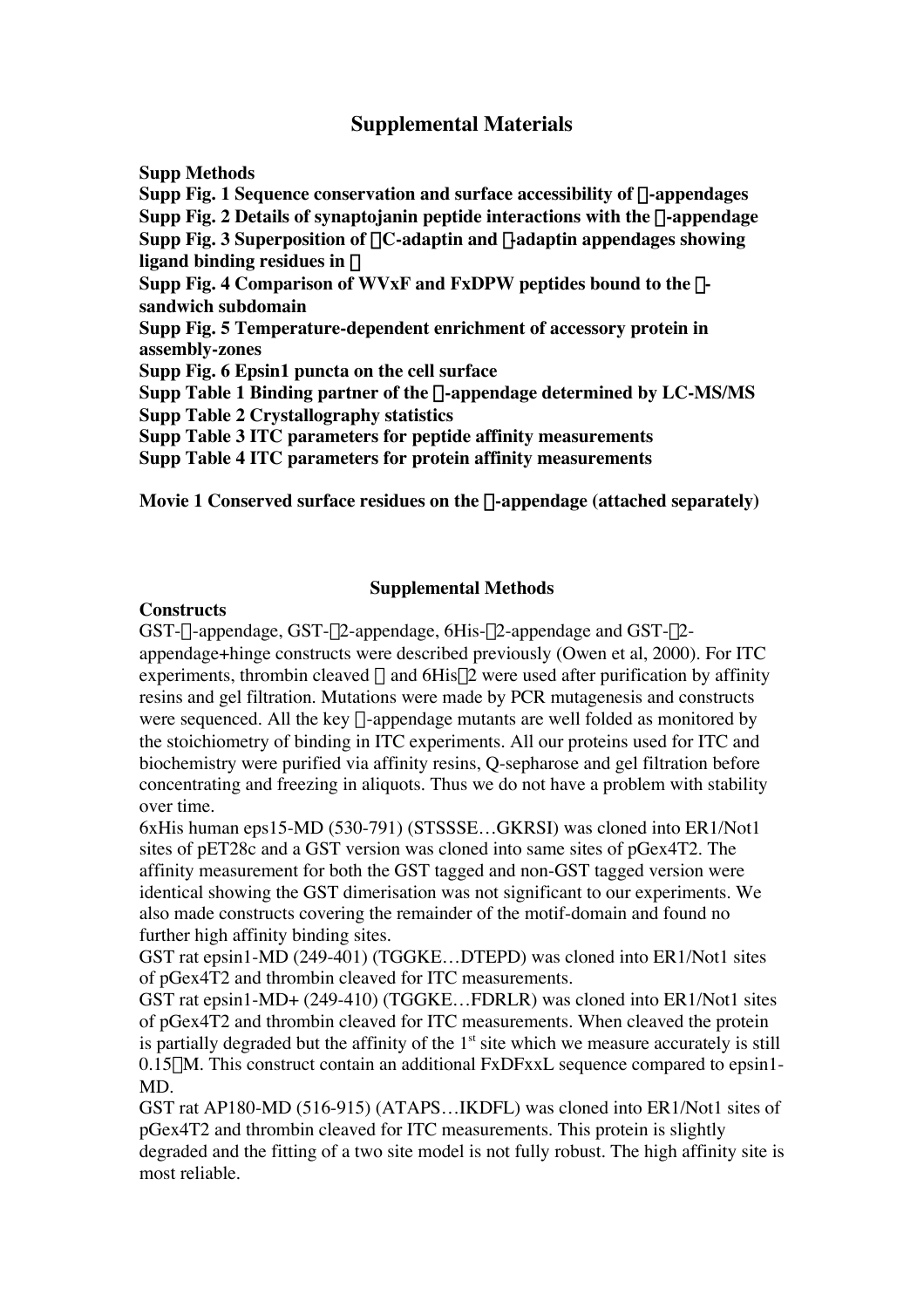# **Supplemental Materials**

**Supp Methods Supp Fig. 1 Sequence conservation and surface accessibility of**  $\alpha$ **-appendages Supp Fig. 2 Details of synaptojanin peptide interactions with the** a**-appendage Supp Fig. 3 Superposition of**  $\alpha$ **C-adaptin and**  $\gamma$ **-adaptin appendages showing ligand binding residues in** g **Supp Fig. 4 Comparison of WVxF and FxDPW peptides bound to the** b**sandwich subdomain Supp Fig. 5 Temperature-dependent enrichment of accessory protein in assembly-zones Supp Fig. 6 Epsin1 puncta on the cell surface Supp Table 1 Binding partner of the** a**-appendage determined by LC-MS/MS Supp Table 2 Crystallography statistics Supp Table 3 ITC parameters for peptide affinity measurements Supp Table 4 ITC parameters for protein affinity measurements**

**Movie 1 Conserved surface residues on the** a**-appendage (attached separately)**

### **Supplemental Methods**

### **Constructs**

GST- $\alpha$ -appendage, GST- $\beta$ 2-appendage, 6His- $\beta$ 2-appendage and GST- $\beta$ 2appendage+hinge constructs were described previously (Owen et al, 2000). For ITC experiments, thrombin cleaved  $\alpha$  and 6His $\beta$ 2 were used after purification by affinity resins and gel filtration. Mutations were made by PCR mutagenesis and constructs were sequenced. All the key  $\alpha$ -appendage mutants are well folded as monitored by the stoichiometry of binding in ITC experiments. All our proteins used for ITC and biochemistry were purified via affinity resins, Q-sepharose and gel filtration before concentrating and freezing in aliquots. Thus we do not have a problem with stability over time.

6xHis human eps15-MD (530-791) (STSSSE…GKRSI) was cloned into ER1/Not1 sites of pET28c and a GST version was cloned into same sites of pGex4T2. The affinity measurement for both the GST tagged and non-GST tagged version were identical showing the GST dimerisation was not significant to our experiments. We also made constructs covering the remainder of the motif-domain and found no further high affinity binding sites.

GST rat epsin1-MD (249-401) (TGGKE…DTEPD) was cloned into ER1/Not1 sites of pGex4T2 and thrombin cleaved for ITC measurements.

GST rat epsin1-MD+ (249-410) (TGGKE…FDRLR) was cloned into ER1/Not1 sites of pGex4T2 and thrombin cleaved for ITC measurements. When cleaved the protein is partially degraded but the affinity of the  $1<sup>st</sup>$  site which we measure accurately is still  $0.15\mu$ M. This construct contain an additional FxDFxxL sequence compared to epsin1-MD.

GST rat AP180-MD (516-915) (ATAPS…IKDFL) was cloned into ER1/Not1 sites of pGex4T2 and thrombin cleaved for ITC measurements. This protein is slightly degraded and the fitting of a two site model is not fully robust. The high affinity site is most reliable.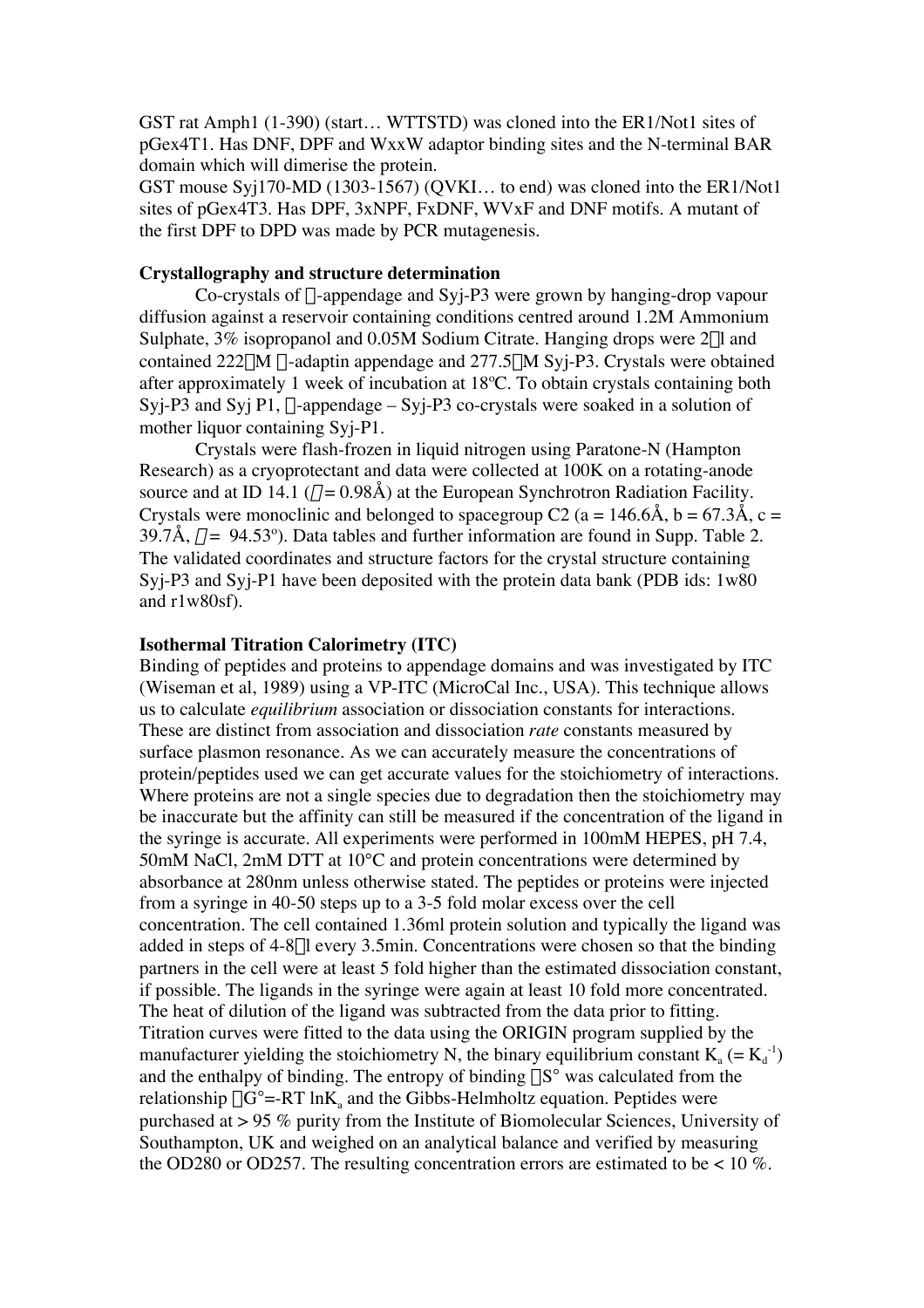GST rat Amph1 (1-390) (start… WTTSTD) was cloned into the ER1/Not1 sites of pGex4T1. Has DNF, DPF and WxxW adaptor binding sites and the N-terminal BAR domain which will dimerise the protein.

GST mouse Syj170-MD (1303-1567) (QVKI… to end) was cloned into the ER1/Not1 sites of pGex4T3. Has DPF, 3xNPF, FxDNF, WVxF and DNF motifs. A mutant of the first DPF to DPD was made by PCR mutagenesis.

#### **Crystallography and structure determination**

Co-crystals of  $\alpha$ -appendage and Syj-P3 were grown by hanging-drop vapour diffusion against a reservoir containing conditions centred around 1.2M Ammonium Sulphate, 3% isopropanol and 0.05M Sodium Citrate. Hanging drops were 2µl and contained  $222\mu$ M  $\alpha$ -adaptin appendage and  $277.5\mu$ M Syj-P3. Crystals were obtained after approximately 1 week of incubation at 18ºC. To obtain crystals containing both Syj-P3 and Syj P1,  $\alpha$ -appendage – Syj-P3 co-crystals were soaked in a solution of mother liquor containing Syi-P1.

Crystals were flash-frozen in liquid nitrogen using Paratone-N (Hampton Research) as a cryoprotectant and data were collected at 100K on a rotating-anode source and at ID 14.1 ( $\lambda = 0.98$ Å) at the European Synchrotron Radiation Facility. Crystals were monoclinic and belonged to spacegroup C2 (a = 146.6Å, b = 67.3Å, c = 39.7Å,  $\beta$  = 94.53°). Data tables and further information are found in Supp. Table 2. The validated coordinates and structure factors for the crystal structure containing Syj-P3 and Syj-P1 have been deposited with the protein data bank (PDB ids: 1w80 and r1w80sf).

#### **Isothermal Titration Calorimetry (ITC)**

Binding of peptides and proteins to appendage domains and was investigated by ITC (Wiseman et al, 1989) using a VP-ITC (MicroCal Inc., USA). This technique allows us to calculate *equilibrium* association or dissociation constants for interactions. These are distinct from association and dissociation *rate* constants measured by surface plasmon resonance. As we can accurately measure the concentrations of protein/peptides used we can get accurate values for the stoichiometry of interactions. Where proteins are not a single species due to degradation then the stoichiometry may be inaccurate but the affinity can still be measured if the concentration of the ligand in the syringe is accurate. All experiments were performed in 100mM HEPES, pH 7.4, 50mM NaCl, 2mM DTT at 10°C and protein concentrations were determined by absorbance at 280nm unless otherwise stated. The peptides or proteins were injected from a syringe in 40-50 steps up to a 3-5 fold molar excess over the cell concentration. The cell contained 1.36ml protein solution and typically the ligand was added in steps of 4-8ml every 3.5min. Concentrations were chosen so that the binding partners in the cell were at least 5 fold higher than the estimated dissociation constant, if possible. The ligands in the syringe were again at least 10 fold more concentrated. The heat of dilution of the ligand was subtracted from the data prior to fitting. Titration curves were fitted to the data using the ORIGIN program supplied by the manufacturer yielding the stoichiometry N, the binary equilibrium constant  $K_a (= K_d^{-1})$ and the enthalpy of binding. The entropy of binding  $\Delta S$  was calculated from the relationship  $\Delta G = RT \ln K$  and the Gibbs-Helmholtz equation. Peptides were purchased at > 95 % purity from the Institute of Biomolecular Sciences, University of Southampton, UK and weighed on an analytical balance and verified by measuring the OD280 or OD257. The resulting concentration errors are estimated to be  $< 10$  %.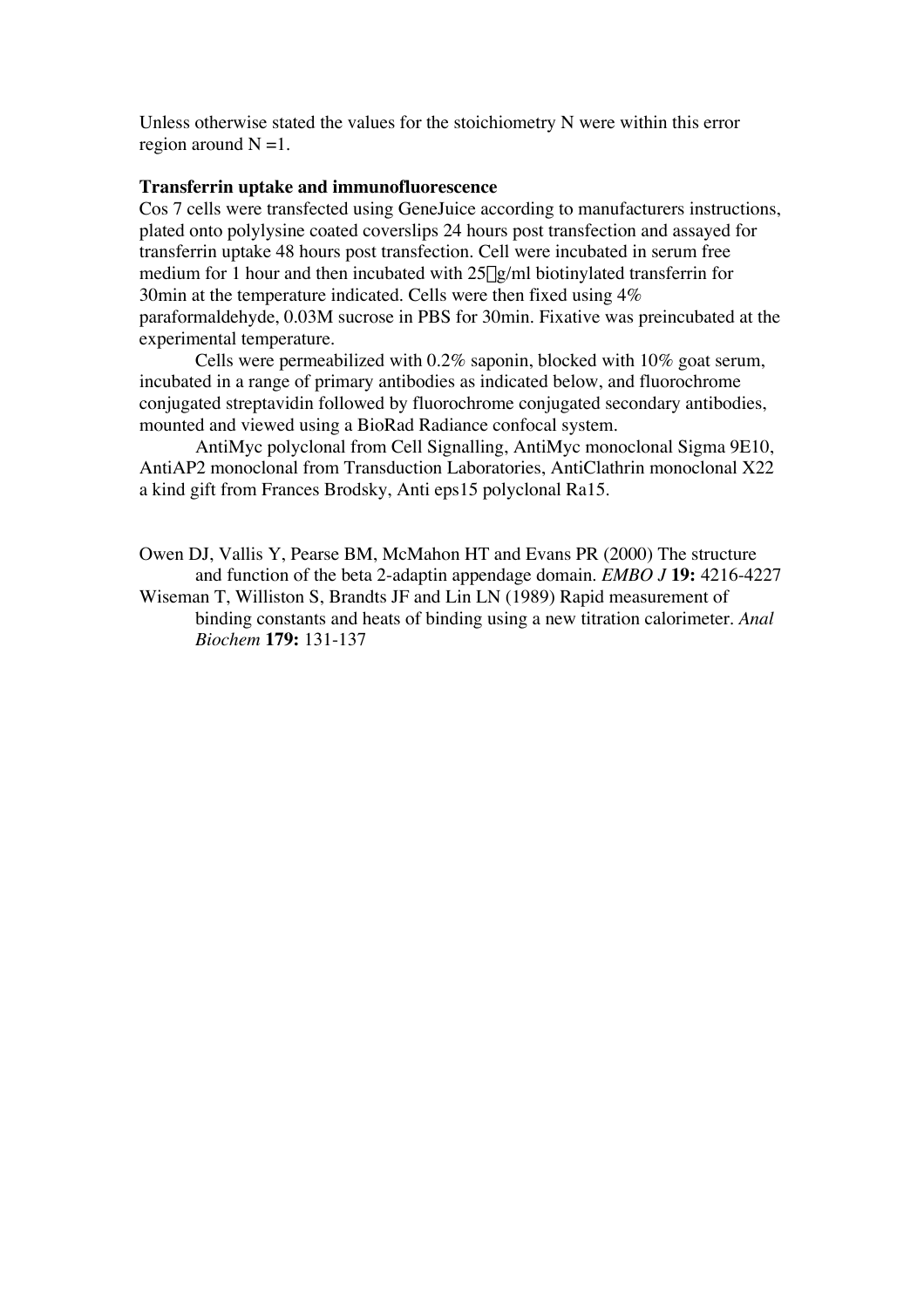Unless otherwise stated the values for the stoichiometry N were within this error region around  $N = 1$ .

### **Transferrin uptake and immunofluorescence**

Cos 7 cells were transfected using GeneJuice according to manufacturers instructions, plated onto polylysine coated coverslips 24 hours post transfection and assayed for transferrin uptake 48 hours post transfection. Cell were incubated in serum free medium for 1 hour and then incubated with  $25\mu\text{g/ml}$  biotinylated transferrin for 30min at the temperature indicated. Cells were then fixed using 4% paraformaldehyde, 0.03M sucrose in PBS for 30min. Fixative was preincubated at the experimental temperature.

Cells were permeabilized with 0.2% saponin, blocked with 10% goat serum, incubated in a range of primary antibodies as indicated below, and fluorochrome conjugated streptavidin followed by fluorochrome conjugated secondary antibodies, mounted and viewed using a BioRad Radiance confocal system.

AntiMyc polyclonal from Cell Signalling, AntiMyc monoclonal Sigma 9E10, AntiAP2 monoclonal from Transduction Laboratories, AntiClathrin monoclonal X22 a kind gift from Frances Brodsky, Anti eps15 polyclonal Ra15.

Owen DJ, Vallis Y, Pearse BM, McMahon HT and Evans PR (2000) The structure and function of the beta 2-adaptin appendage domain. *EMBO J* **19:** 4216-4227

Wiseman T, Williston S, Brandts JF and Lin LN (1989) Rapid measurement of binding constants and heats of binding using a new titration calorimeter. *Anal Biochem* **179:** 131-137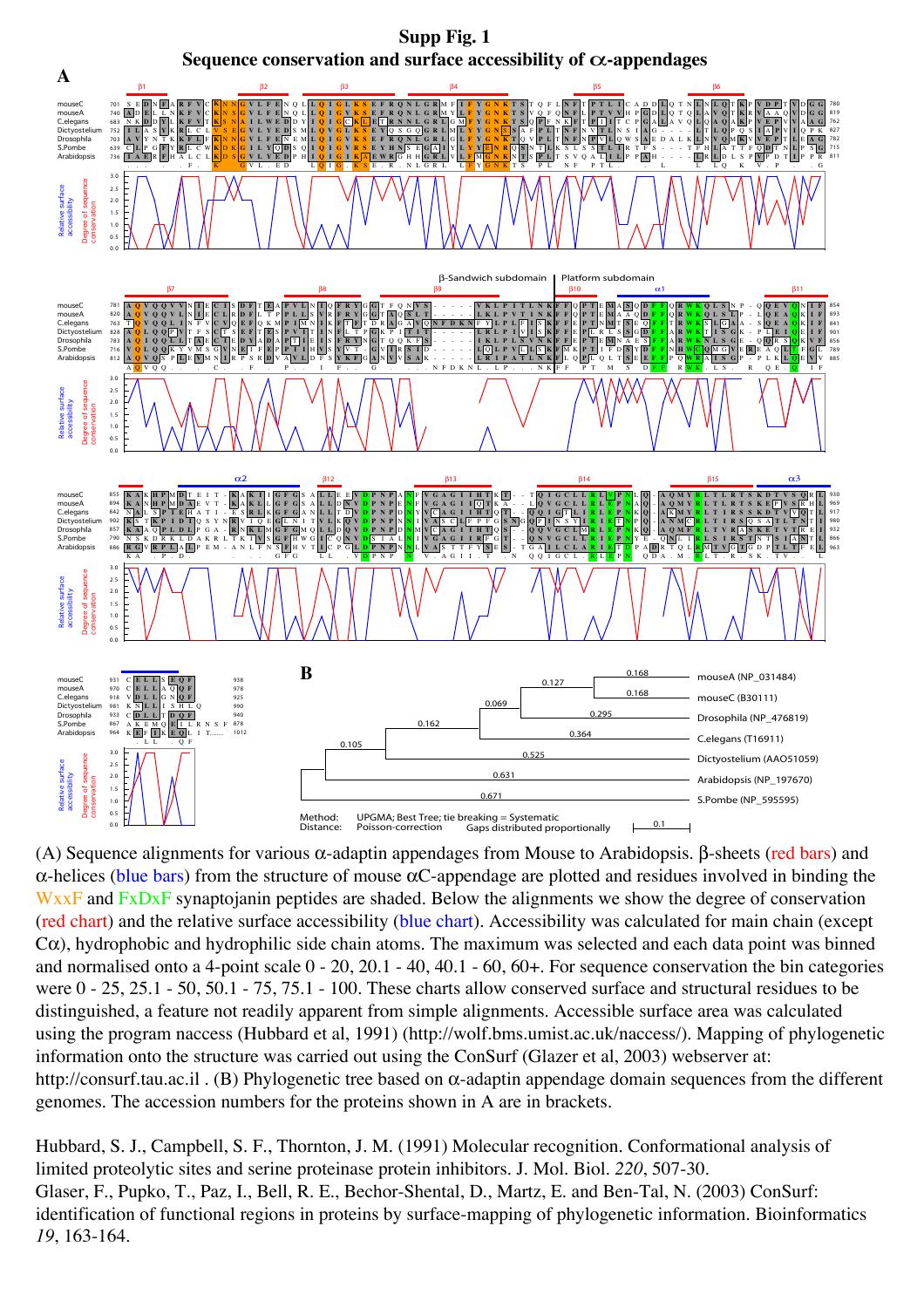

(A) Sequence alignments for various  $\alpha$ -adaptin appendages from Mouse to Arabidopsis. β-sheets (red bars) and α-helices (blue bars) from the structure of mouse αC-appendage are plotted and residues involved in binding the WxxF and FxDxF synaptojanin peptides are shaded. Below the alignments we show the degree of conservation (red chart) and the relative surface accessibility (blue chart). Accessibility was calculated for main chain (except  $C\alpha$ ), hydrophobic and hydrophilic side chain atoms. The maximum was selected and each data point was binned and normalised onto a 4-point scale 0 - 20, 20.1 - 40, 40.1 - 60, 60+. For sequence conservation the bin categories were 0 - 25, 25.1 - 50, 50.1 - 75, 75.1 - 100. These charts allow conserved surface and structural residues to be distinguished, a feature not readily apparent from simple alignments. Accessible surface area was calculated using the program naccess (Hubbard et al, 1991) (http://wolf.bms.umist.ac.uk/naccess/). Mapping of phylogenetic information onto the structure was carried out using the ConSurf (Glazer et al, 2003) webserver at: http://consurf.tau.ac.il . (B) Phylogenetic tree based on α-adaptin appendage domain sequences from the different genomes. The accession numbers for the proteins shown in A are in brackets.

Hubbard, S. J., Campbell, S. F., Thornton, J. M. (1991) Molecular recognition. Conformational analysis of limited proteolytic sites and serine proteinase protein inhibitors. J. Mol. Biol. *220*, 507-30. Glaser, F., Pupko, T., Paz, I., Bell, R. E., Bechor-Shental, D., Martz, E. and Ben-Tal, N. (2003) ConSurf: identification of functional regions in proteins by surface-mapping of phylogenetic information. Bioinformatics *19*, 163-164.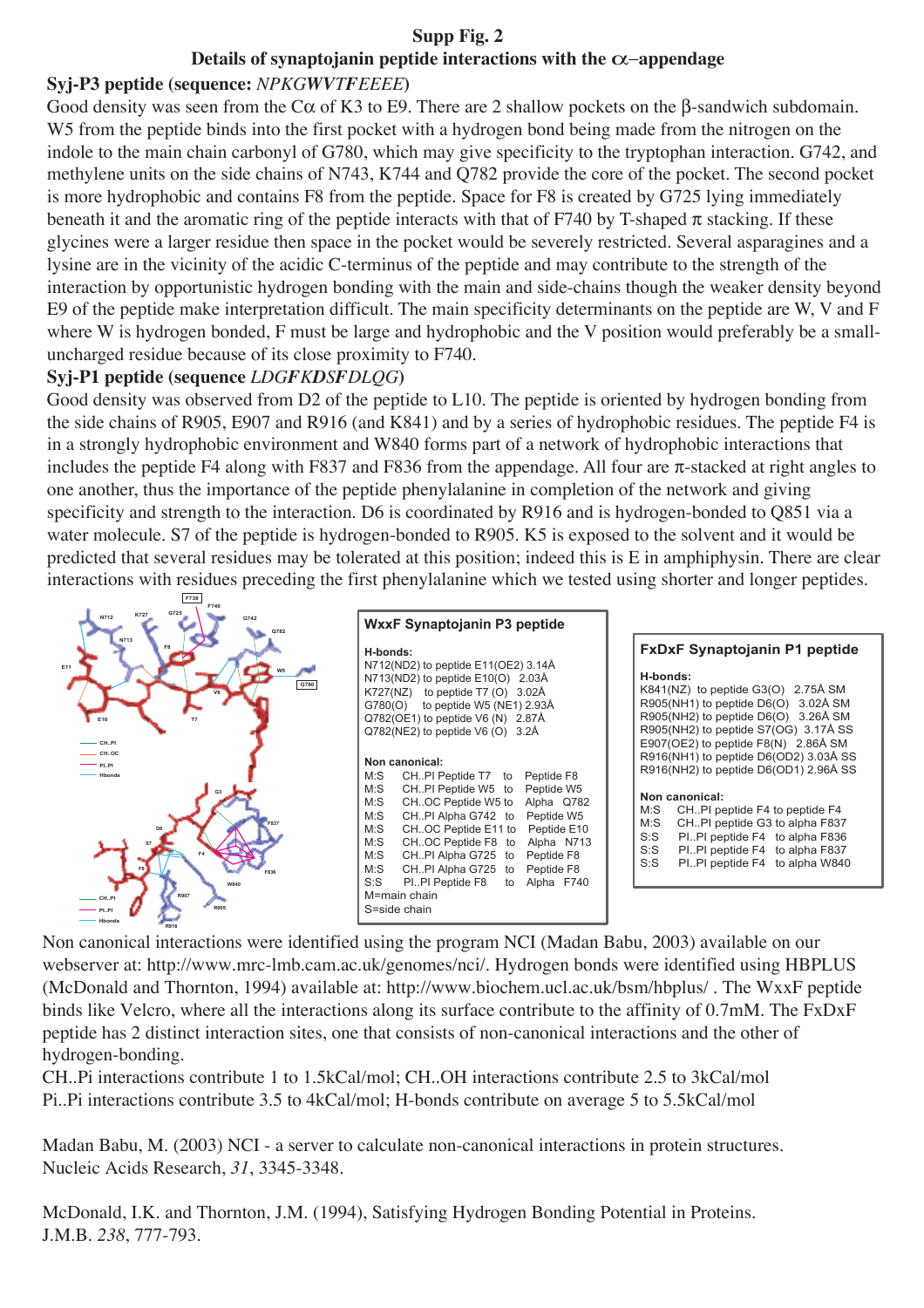## **Supp Fig. 2**

# **Details of synaptojanin peptide interactions with the** α−**appendage**

# **Syj-P3 peptide (sequence:** *NPKGWVTFEEEE***)**

Good density was seen from the Cα of K3 to E9. There are 2 shallow pockets on the β-sandwich subdomain. W5 from the peptide binds into the first pocket with a hydrogen bond being made from the nitrogen on the indole to the main chain carbonyl of G780, which may give specificity to the tryptophan interaction. G742, and methylene units on the side chains of N743, K744 and Q782 provide the core of the pocket. The second pocket is more hydrophobic and contains F8 from the peptide. Space for F8 is created by G725 lying immediately beneath it and the aromatic ring of the peptide interacts with that of F740 by T-shaped  $\pi$  stacking. If these glycines were a larger residue then space in the pocket would be severely restricted. Several asparagines and a lysine are in the vicinity of the acidic C-terminus of the peptide and may contribute to the strength of the interaction by opportunistic hydrogen bonding with the main and side-chains though the weaker density beyond E9 of the peptide make interpretation difficult. The main specificity determinants on the peptide are W, V and F where W is hydrogen bonded, F must be large and hydrophobic and the V position would preferably be a smalluncharged residue because of its close proximity to F740.

## **Syj-P1 peptide (sequence** *LDGFKDSFDLQG***)**

Good density was observed from D2 of the peptide to L10. The peptide is oriented by hydrogen bonding from the side chains of R905, E907 and R916 (and K841) and by a series of hydrophobic residues. The peptide F4 is in a strongly hydrophobic environment and W840 forms part of a network of hydrophobic interactions that includes the peptide F4 along with F837 and F836 from the appendage. All four are  $\pi$ -stacked at right angles to one another, thus the importance of the peptide phenylalanine in completion of the network and giving specificity and strength to the interaction. D6 is coordinated by R916 and is hydrogen-bonded to Q851 via a water molecule. S7 of the peptide is hydrogen-bonded to R905. K5 is exposed to the solvent and it would be predicted that several residues may be tolerated at this position; indeed this is E in amphiphysin. There are clear interactions with residues preceding the first phenylalanine which we tested using shorter and longer peptides.



Non canonical interactions were identified using the program NCI (Madan Babu, 2003) available on our webserver at: http://www.mrc-lmb.cam.ac.uk/genomes/nci/. Hydrogen bonds were identified using HBPLUS (McDonald and Thornton, 1994) available at: http://www.biochem.ucl.ac.uk/bsm/hbplus/ . The WxxF peptide binds like Velcro, where all the interactions along its surface contribute to the affinity of 0.7mM. The FxDxF peptide has 2 distinct interaction sites, one that consists of non-canonical interactions and the other of hydrogen-bonding.

CH..Pi interactions contribute 1 to 1.5kCal/mol; CH..OH interactions contribute 2.5 to 3kCal/mol Pi..Pi interactions contribute 3.5 to 4kCal/mol; H-bonds contribute on average 5 to 5.5kCal/mol

Madan Babu, M. (2003) NCI - a server to calculate non-canonical interactions in protein structures. Nucleic Acids Research, *31*, 3345-3348.

McDonald, I.K. and Thornton, J.M. (1994), Satisfying Hydrogen Bonding Potential in Proteins. J.M.B. *238*, 777-793.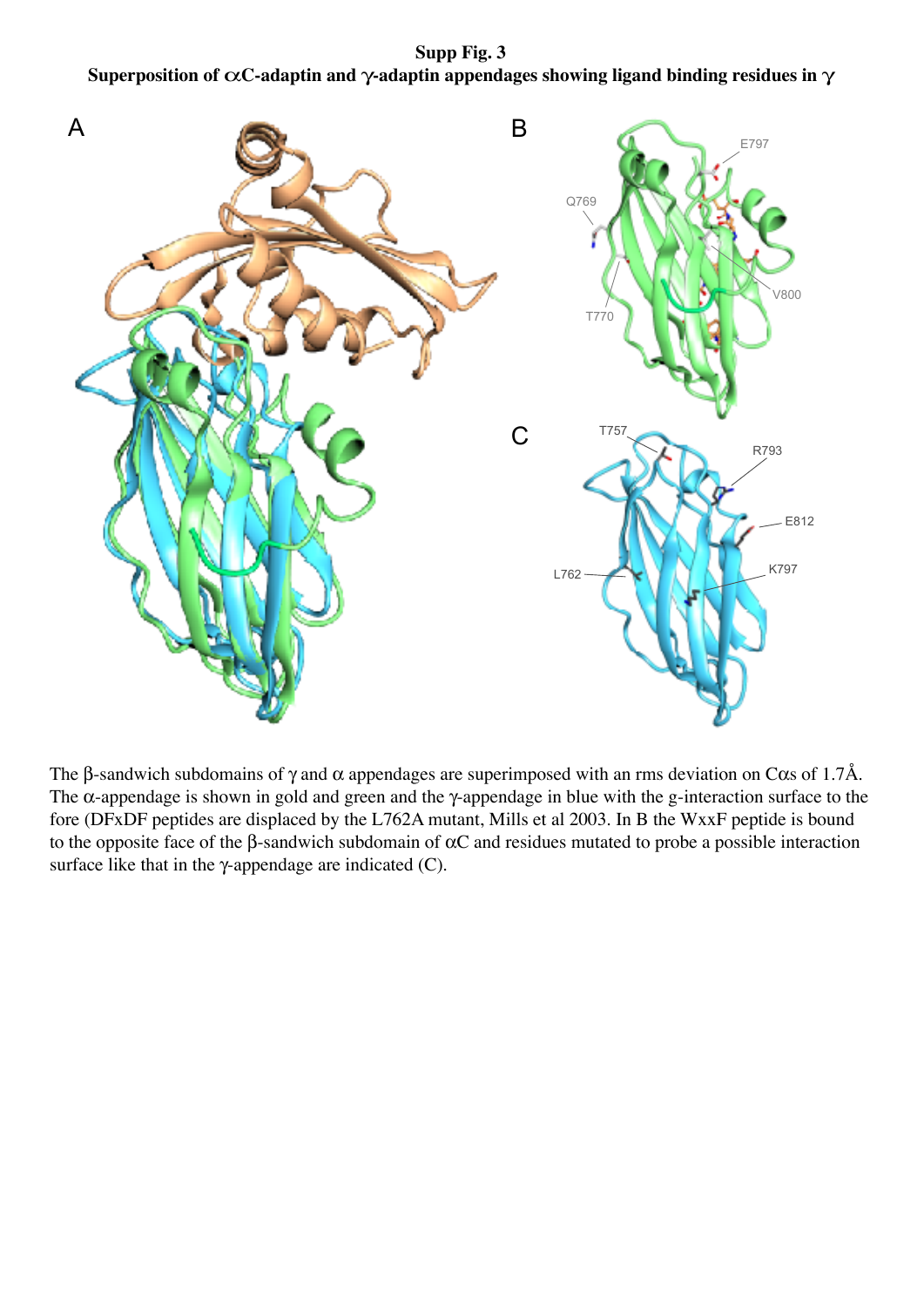**Supp Fig. 3 Superposition of** α**C-adaptin and** γ**-adaptin appendages showing ligand binding residues in** γ



The β-sandwich subdomains of  $\gamma$  and  $\alpha$  appendages are superimposed with an rms deviation on C $\alpha$ s of 1.7Å. The α-appendage is shown in gold and green and the γ-appendage in blue with the g-interaction surface to the fore (DFxDF peptides are displaced by the L762A mutant, Mills et al 2003. In B the WxxF peptide is bound to the opposite face of the  $\beta$ -sandwich subdomain of  $\alpha$ C and residues mutated to probe a possible interaction surface like that in the  $\gamma$ -appendage are indicated (C).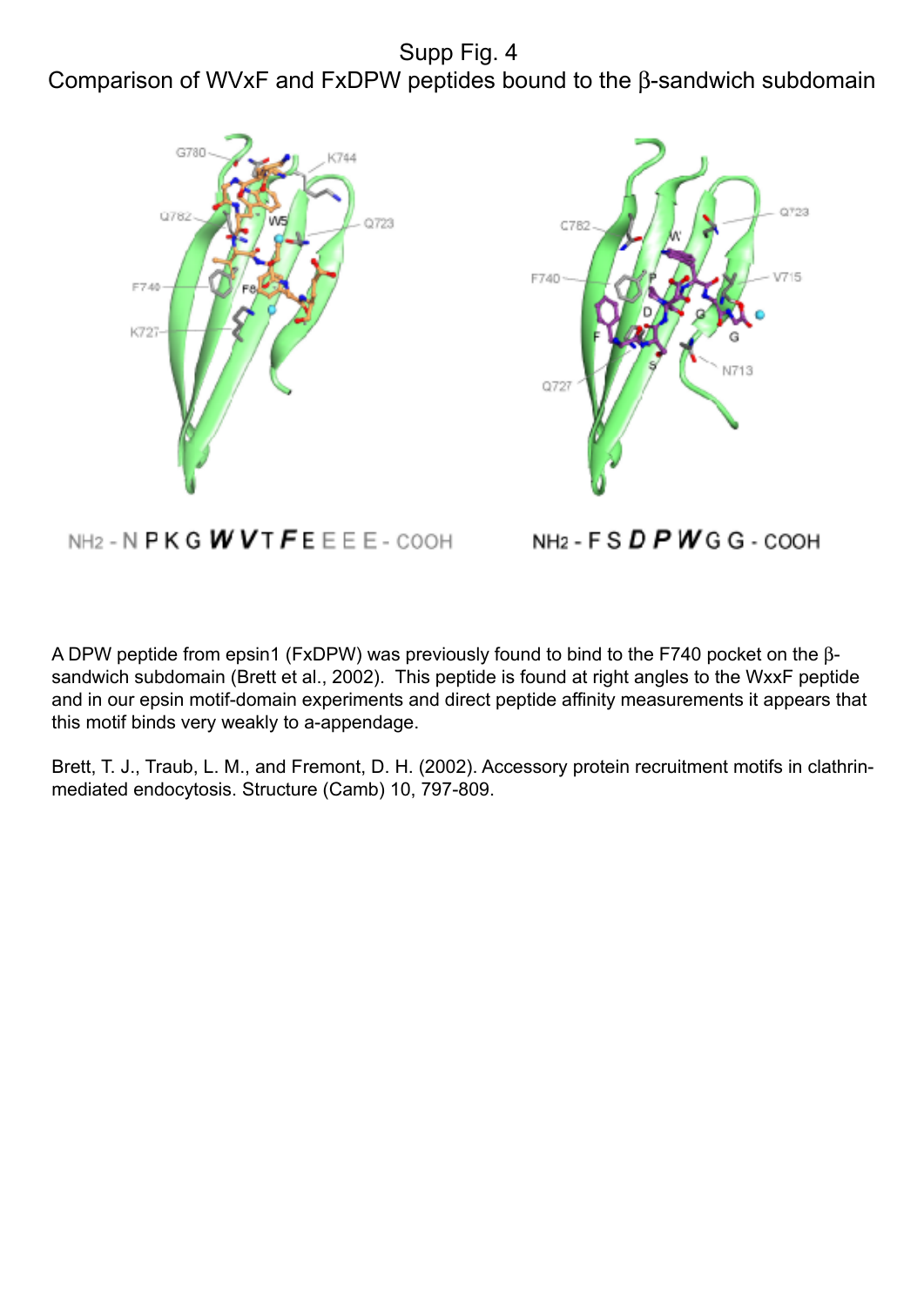Supp Fig. 4 Comparison of WVxF and FxDPW peptides bound to the β-sandwich subdomain





NH2 - N  $P$ K G  $W$   $V$  T  $F$  E E E E - COOH

NH<sub>2</sub> - F S  $D$  P W G G - COOH

A DPW peptide from epsin1 (FxDPW) was previously found to bind to the F740 pocket on the βsandwich subdomain (Brett et al., 2002). This peptide is found at right angles to the WxxF peptide and in our epsin motif-domain experiments and direct peptide affinity measurements it appears that this motif binds very weakly to a-appendage.

Brett, T. J., Traub, L. M., and Fremont, D. H. (2002). Accessory protein recruitment motifs in clathrinmediated endocytosis. Structure (Camb) 10, 797-809.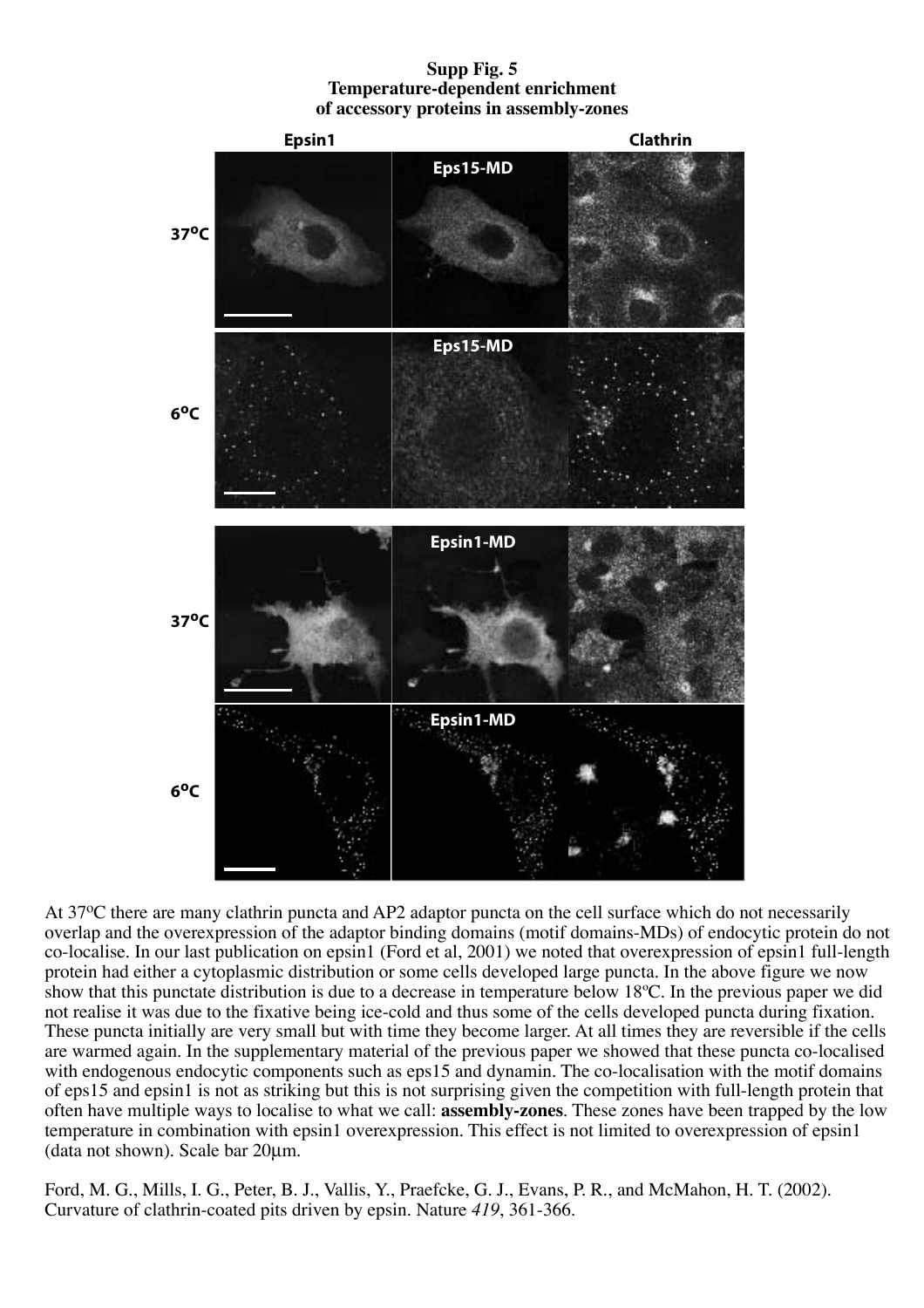**Supp Fig. 5 Temperature-dependent enrichment of accessory proteins in assembly-zones**



At 37<sup>o</sup>C there are many clathrin puncta and AP2 adaptor puncta on the cell surface which do not necessarily overlap and the overexpression of the adaptor binding domains (motif domains-MDs) of endocytic protein do not co-localise. In our last publication on epsin1 (Ford et al, 2001) we noted that overexpression of epsin1 full-length protein had either a cytoplasmic distribution or some cells developed large puncta. In the above figure we now show that this punctate distribution is due to a decrease in temperature below 18ºC. In the previous paper we did not realise it was due to the fixative being ice-cold and thus some of the cells developed puncta during fixation. These puncta initially are very small but with time they become larger. At all times they are reversible if the cells are warmed again. In the supplementary material of the previous paper we showed that these puncta co-localised with endogenous endocytic components such as eps15 and dynamin. The co-localisation with the motif domains of eps15 and epsin1 is not as striking but this is not surprising given the competition with full-length protein that often have multiple ways to localise to what we call: **assembly-zones**. These zones have been trapped by the low temperature in combination with epsin1 overexpression. This effect is not limited to overexpression of epsin1 (data not shown). Scale bar 20µm.

Ford, M. G., Mills, I. G., Peter, B. J., Vallis, Y., Praefcke, G. J., Evans, P. R., and McMahon, H. T. (2002). Curvature of clathrin-coated pits driven by epsin. Nature *419*, 361-366.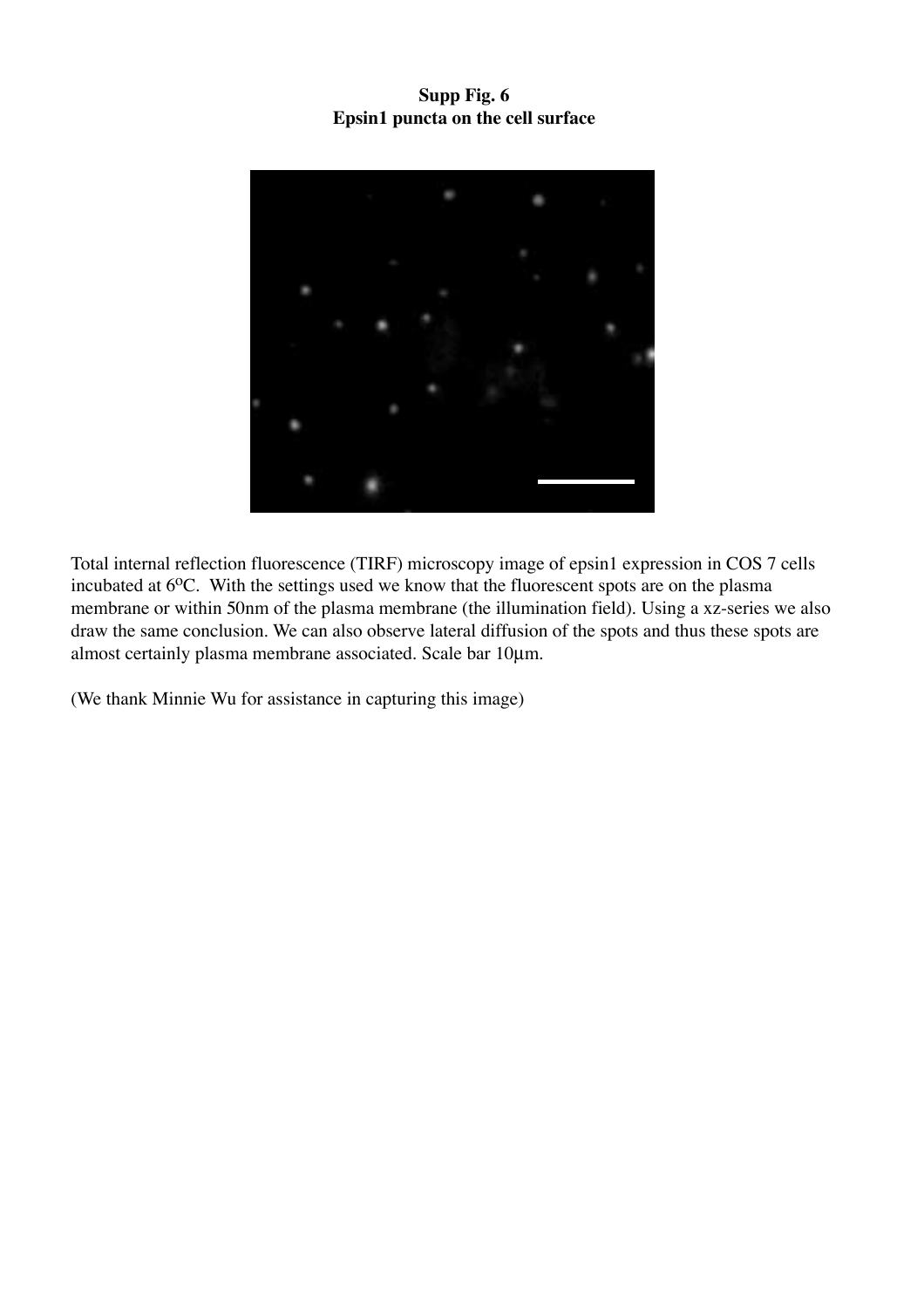**Supp Fig. 6 Epsin1 puncta on the cell surface**



Total internal reflection fluorescence (TIRF) microscopy image of epsin1 expression in COS 7 cells incubated at  $6^{\circ}$ C. With the settings used we know that the fluorescent spots are on the plasma membrane or within 50nm of the plasma membrane (the illumination field). Using a xz-series we also draw the same conclusion. We can also observe lateral diffusion of the spots and thus these spots are almost certainly plasma membrane associated. Scale bar 10µm.

(We thank Minnie Wu for assistance in capturing this image)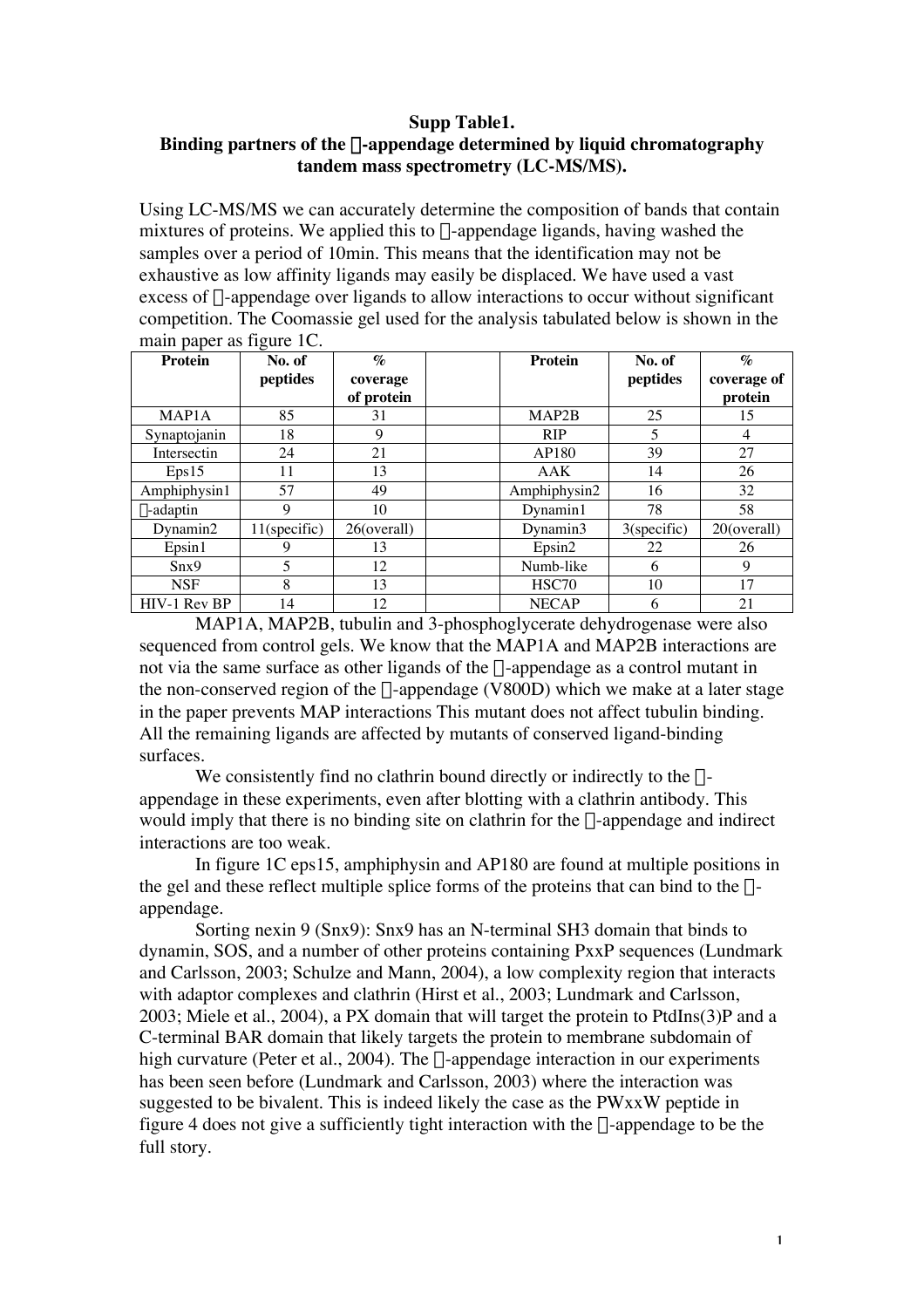## **Supp Table1.**

## **Binding partners of the** a**-appendage determined by liquid chromatography tandem mass spectrometry (LC-MS/MS).**

Using LC-MS/MS we can accurately determine the composition of bands that contain mixtures of proteins. We applied this to  $\alpha$ -appendage ligands, having washed the samples over a period of 10min. This means that the identification may not be exhaustive as low affinity ligands may easily be displaced. We have used a vast excess of  $\alpha$ -appendage over ligands to allow interactions to occur without significant competition. The Coomassie gel used for the analysis tabulated below is shown in the main paper as figure 1C.

| $\mathbf{r}$<br><b>Protein</b> | No. of       | $\mathcal{O}_{\mathcal{O}}$ |  | <b>Protein</b> | No. of         | $\mathcal{O}_{\mathcal{O}}$ |
|--------------------------------|--------------|-----------------------------|--|----------------|----------------|-----------------------------|
|                                | peptides     | coverage                    |  |                | peptides       | coverage of                 |
|                                |              | of protein                  |  |                |                | protein                     |
| MAP <sub>1</sub> A             | 85           | 31                          |  | MAP2B          | 25             | 15                          |
| Synaptojanin                   | 18           | 9                           |  | <b>RIP</b>     | 5              | 4                           |
| Intersectin                    | 24           | 21                          |  | AP180          | 39             | 27                          |
| Eps15                          | 11           | 13                          |  | AAK            | 14             | 26                          |
| Amphiphysin1                   | 57           | 49                          |  | Amphiphysin2   | 16             | 32                          |
| $\beta$ -adaptin               | 9            | 10                          |  | Dynamin1       | 78             | 58                          |
| Dynamin2                       | 11(specific) | 26(overall)                 |  | Dynamin3       | $3$ (specific) | 20(overall)                 |
| Epsin1                         | 9            | 13                          |  | Epsin2         | 22             | 26                          |
| Snx9                           | 5            | 12                          |  | Numb-like      | 6              | 9                           |
| <b>NSF</b>                     | 8            | 13                          |  | HSC70          | 10             | 17                          |
| HIV-1 Rev BP                   | 14           | 12                          |  | <b>NECAP</b>   | 6              | 21                          |

MAP1A, MAP2B, tubulin and 3-phosphoglycerate dehydrogenase were also sequenced from control gels. We know that the MAP1A and MAP2B interactions are not via the same surface as other ligands of the  $\alpha$ -appendage as a control mutant in the non-conserved region of the  $\alpha$ -appendage (V800D) which we make at a later stage in the paper prevents MAP interactions This mutant does not affect tubulin binding. All the remaining ligands are affected by mutants of conserved ligand-binding surfaces.

We consistently find no clathrin bound directly or indirectly to the  $\alpha$ appendage in these experiments, even after blotting with a clathrin antibody. This would imply that there is no binding site on clathrin for the  $\alpha$ -appendage and indirect interactions are too weak.

In figure 1C eps15, amphiphysin and AP180 are found at multiple positions in the gel and these reflect multiple splice forms of the proteins that can bind to the  $\alpha$ appendage.

Sorting nexin 9 (Snx9): Snx9 has an N-terminal SH3 domain that binds to dynamin, SOS, and a number of other proteins containing PxxP sequences (Lundmark and Carlsson, 2003; Schulze and Mann, 2004), a low complexity region that interacts with adaptor complexes and clathrin (Hirst et al., 2003; Lundmark and Carlsson, 2003; Miele et al., 2004), a PX domain that will target the protein to PtdIns(3)P and a C-terminal BAR domain that likely targets the protein to membrane subdomain of high curvature (Peter et al., 2004). The  $\alpha$ -appendage interaction in our experiments has been seen before (Lundmark and Carlsson, 2003) where the interaction was suggested to be bivalent. This is indeed likely the case as the PWxxW peptide in figure 4 does not give a sufficiently tight interaction with the  $\alpha$ -appendage to be the full story.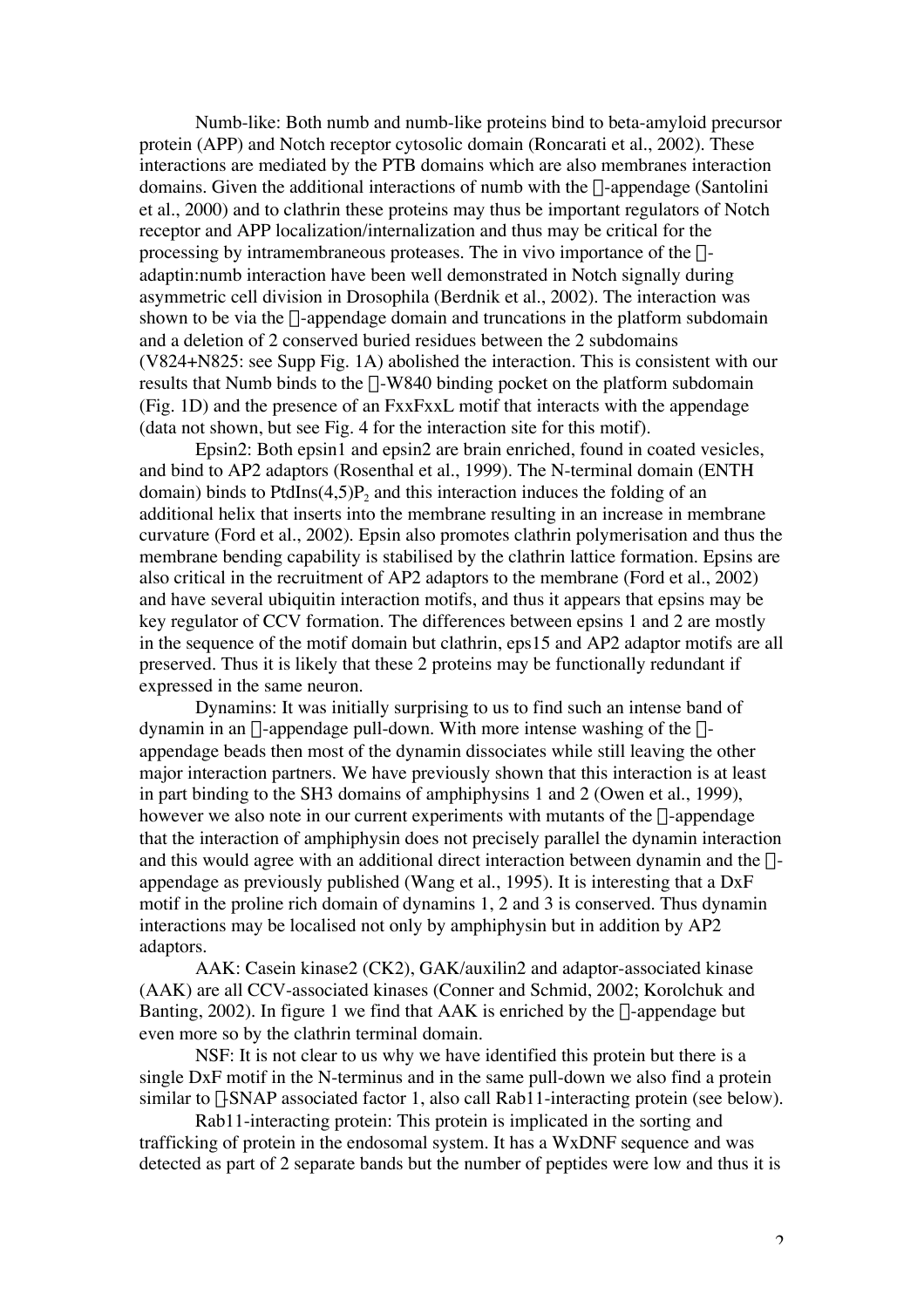Numb-like: Both numb and numb-like proteins bind to beta-amyloid precursor protein (APP) and Notch receptor cytosolic domain (Roncarati et al., 2002). These interactions are mediated by the PTB domains which are also membranes interaction domains. Given the additional interactions of numb with the  $\alpha$ -appendage (Santolini et al., 2000) and to clathrin these proteins may thus be important regulators of Notch receptor and APP localization/internalization and thus may be critical for the processing by intramembraneous proteases. The in vivo importance of the  $\alpha$ adaptin:numb interaction have been well demonstrated in Notch signally during asymmetric cell division in Drosophila (Berdnik et al., 2002). The interaction was shown to be via the  $\alpha$ -appendage domain and truncations in the platform subdomain and a deletion of 2 conserved buried residues between the 2 subdomains (V824+N825: see Supp Fig. 1A) abolished the interaction. This is consistent with our results that Numb binds to the  $\alpha$ -W840 binding pocket on the platform subdomain (Fig. 1D) and the presence of an FxxFxxL motif that interacts with the appendage (data not shown, but see Fig. 4 for the interaction site for this motif).

Epsin2: Both epsin1 and epsin2 are brain enriched, found in coated vesicles, and bind to AP2 adaptors (Rosenthal et al., 1999). The N-terminal domain (ENTH domain) binds to PtdIns $(4,5)P_2$  and this interaction induces the folding of an additional helix that inserts into the membrane resulting in an increase in membrane curvature (Ford et al., 2002). Epsin also promotes clathrin polymerisation and thus the membrane bending capability is stabilised by the clathrin lattice formation. Epsins are also critical in the recruitment of AP2 adaptors to the membrane (Ford et al., 2002) and have several ubiquitin interaction motifs, and thus it appears that epsins may be key regulator of CCV formation. The differences between epsins 1 and 2 are mostly in the sequence of the motif domain but clathrin, eps15 and AP2 adaptor motifs are all preserved. Thus it is likely that these 2 proteins may be functionally redundant if expressed in the same neuron.

Dynamins: It was initially surprising to us to find such an intense band of dynamin in an  $\alpha$ -appendage pull-down. With more intense washing of the  $\alpha$ appendage beads then most of the dynamin dissociates while still leaving the other major interaction partners. We have previously shown that this interaction is at least in part binding to the SH3 domains of amphiphysins 1 and 2 (Owen et al., 1999), however we also note in our current experiments with mutants of the  $\alpha$ -appendage that the interaction of amphiphysin does not precisely parallel the dynamin interaction and this would agree with an additional direct interaction between dynamin and the  $\alpha$ appendage as previously published (Wang et al., 1995). It is interesting that a DxF motif in the proline rich domain of dynamins 1, 2 and 3 is conserved. Thus dynamin interactions may be localised not only by amphiphysin but in addition by AP2 adaptors.

AAK: Casein kinase2 (CK2), GAK/auxilin2 and adaptor-associated kinase (AAK) are all CCV-associated kinases (Conner and Schmid, 2002; Korolchuk and Banting, 2002). In figure 1 we find that AAK is enriched by the  $\alpha$ -appendage but even more so by the clathrin terminal domain.

NSF: It is not clear to us why we have identified this protein but there is a single DxF motif in the N-terminus and in the same pull-down we also find a protein similar to y-SNAP associated factor 1, also call Rab11-interacting protein (see below).

Rab11-interacting protein: This protein is implicated in the sorting and trafficking of protein in the endosomal system. It has a WxDNF sequence and was detected as part of 2 separate bands but the number of peptides were low and thus it is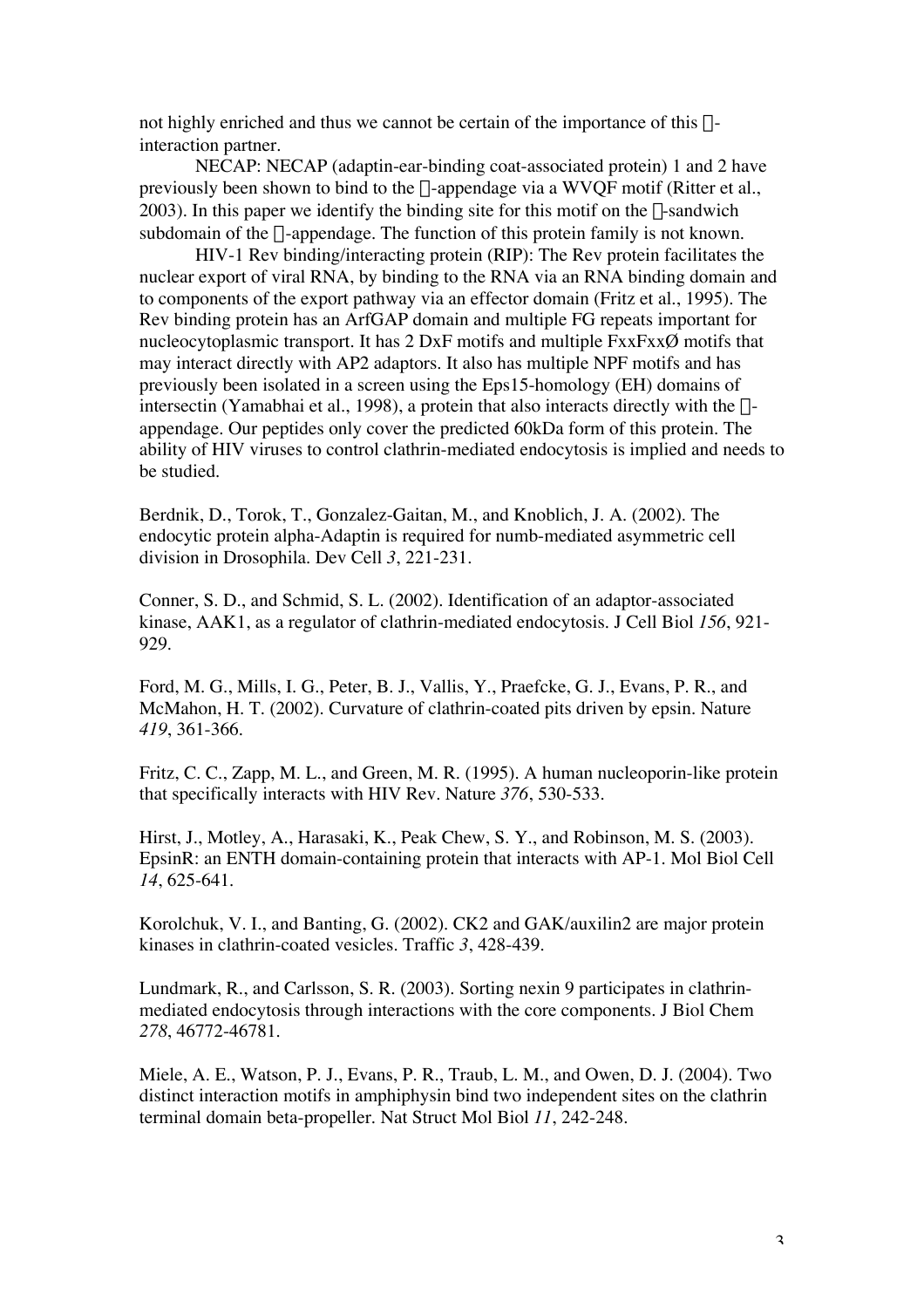not highly enriched and thus we cannot be certain of the importance of this  $\alpha$ interaction partner.

NECAP: NECAP (adaptin-ear-binding coat-associated protein) 1 and 2 have previously been shown to bind to the  $\alpha$ -appendage via a WVQF motif (Ritter et al., 2003). In this paper we identify the binding site for this motif on the  $\beta$ -sandwich subdomain of the  $\alpha$ -appendage. The function of this protein family is not known.

HIV-1 Rev binding/interacting protein (RIP): The Rev protein facilitates the nuclear export of viral RNA, by binding to the RNA via an RNA binding domain and to components of the export pathway via an effector domain (Fritz et al., 1995). The Rev binding protein has an ArfGAP domain and multiple FG repeats important for nucleocytoplasmic transport. It has  $2$  DxF motifs and multiple  $FxxFx\chi\emptyset$  motifs that may interact directly with AP2 adaptors. It also has multiple NPF motifs and has previously been isolated in a screen using the Eps15-homology (EH) domains of intersectin (Yamabhai et al., 1998), a protein that also interacts directly with the  $\alpha$ appendage. Our peptides only cover the predicted 60kDa form of this protein. The ability of HIV viruses to control clathrin-mediated endocytosis is implied and needs to be studied.

Berdnik, D., Torok, T., Gonzalez-Gaitan, M., and Knoblich, J. A. (2002). The endocytic protein alpha-Adaptin is required for numb-mediated asymmetric cell division in Drosophila. Dev Cell *3*, 221-231.

Conner, S. D., and Schmid, S. L. (2002). Identification of an adaptor-associated kinase, AAK1, as a regulator of clathrin-mediated endocytosis. J Cell Biol *156*, 921- 929.

Ford, M. G., Mills, I. G., Peter, B. J., Vallis, Y., Praefcke, G. J., Evans, P. R., and McMahon, H. T. (2002). Curvature of clathrin-coated pits driven by epsin. Nature *419*, 361-366.

Fritz, C. C., Zapp, M. L., and Green, M. R. (1995). A human nucleoporin-like protein that specifically interacts with HIV Rev. Nature *376*, 530-533.

Hirst, J., Motley, A., Harasaki, K., Peak Chew, S. Y., and Robinson, M. S. (2003). EpsinR: an ENTH domain-containing protein that interacts with AP-1. Mol Biol Cell *14*, 625-641.

Korolchuk, V. I., and Banting, G. (2002). CK2 and GAK/auxilin2 are major protein kinases in clathrin-coated vesicles. Traffic *3*, 428-439.

Lundmark, R., and Carlsson, S. R. (2003). Sorting nexin 9 participates in clathrinmediated endocytosis through interactions with the core components. J Biol Chem *278*, 46772-46781.

Miele, A. E., Watson, P. J., Evans, P. R., Traub, L. M., and Owen, D. J. (2004). Two distinct interaction motifs in amphiphysin bind two independent sites on the clathrin terminal domain beta-propeller. Nat Struct Mol Biol *11*, 242-248.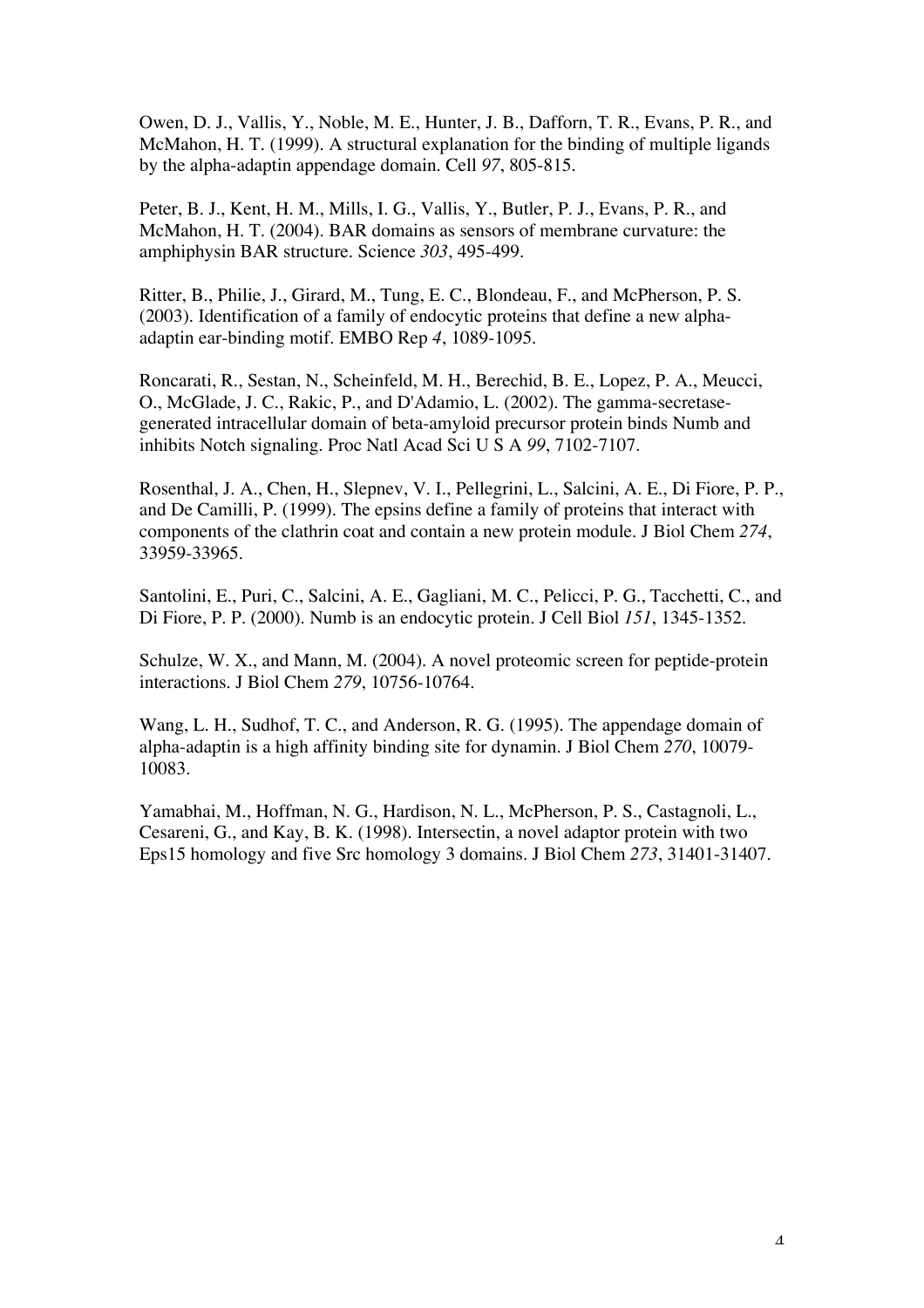Owen, D. J., Vallis, Y., Noble, M. E., Hunter, J. B., Dafforn, T. R., Evans, P. R., and McMahon, H. T. (1999). A structural explanation for the binding of multiple ligands by the alpha-adaptin appendage domain. Cell *97*, 805-815.

Peter, B. J., Kent, H. M., Mills, I. G., Vallis, Y., Butler, P. J., Evans, P. R., and McMahon, H. T. (2004). BAR domains as sensors of membrane curvature: the amphiphysin BAR structure. Science *303*, 495-499.

Ritter, B., Philie, J., Girard, M., Tung, E. C., Blondeau, F., and McPherson, P. S. (2003). Identification of a family of endocytic proteins that define a new alphaadaptin ear-binding motif. EMBO Rep *4*, 1089-1095.

Roncarati, R., Sestan, N., Scheinfeld, M. H., Berechid, B. E., Lopez, P. A., Meucci, O., McGlade, J. C., Rakic, P., and D'Adamio, L. (2002). The gamma-secretasegenerated intracellular domain of beta-amyloid precursor protein binds Numb and inhibits Notch signaling. Proc Natl Acad Sci U S A *99*, 7102-7107.

Rosenthal, J. A., Chen, H., Slepnev, V. I., Pellegrini, L., Salcini, A. E., Di Fiore, P. P., and De Camilli, P. (1999). The epsins define a family of proteins that interact with components of the clathrin coat and contain a new protein module. J Biol Chem *274*, 33959-33965.

Santolini, E., Puri, C., Salcini, A. E., Gagliani, M. C., Pelicci, P. G., Tacchetti, C., and Di Fiore, P. P. (2000). Numb is an endocytic protein. J Cell Biol *151*, 1345-1352.

Schulze, W. X., and Mann, M. (2004). A novel proteomic screen for peptide-protein interactions. J Biol Chem *279*, 10756-10764.

Wang, L. H., Sudhof, T. C., and Anderson, R. G. (1995). The appendage domain of alpha-adaptin is a high affinity binding site for dynamin. J Biol Chem *270*, 10079- 10083.

Yamabhai, M., Hoffman, N. G., Hardison, N. L., McPherson, P. S., Castagnoli, L., Cesareni, G., and Kay, B. K. (1998). Intersectin, a novel adaptor protein with two Eps15 homology and five Src homology 3 domains. J Biol Chem *273*, 31401-31407.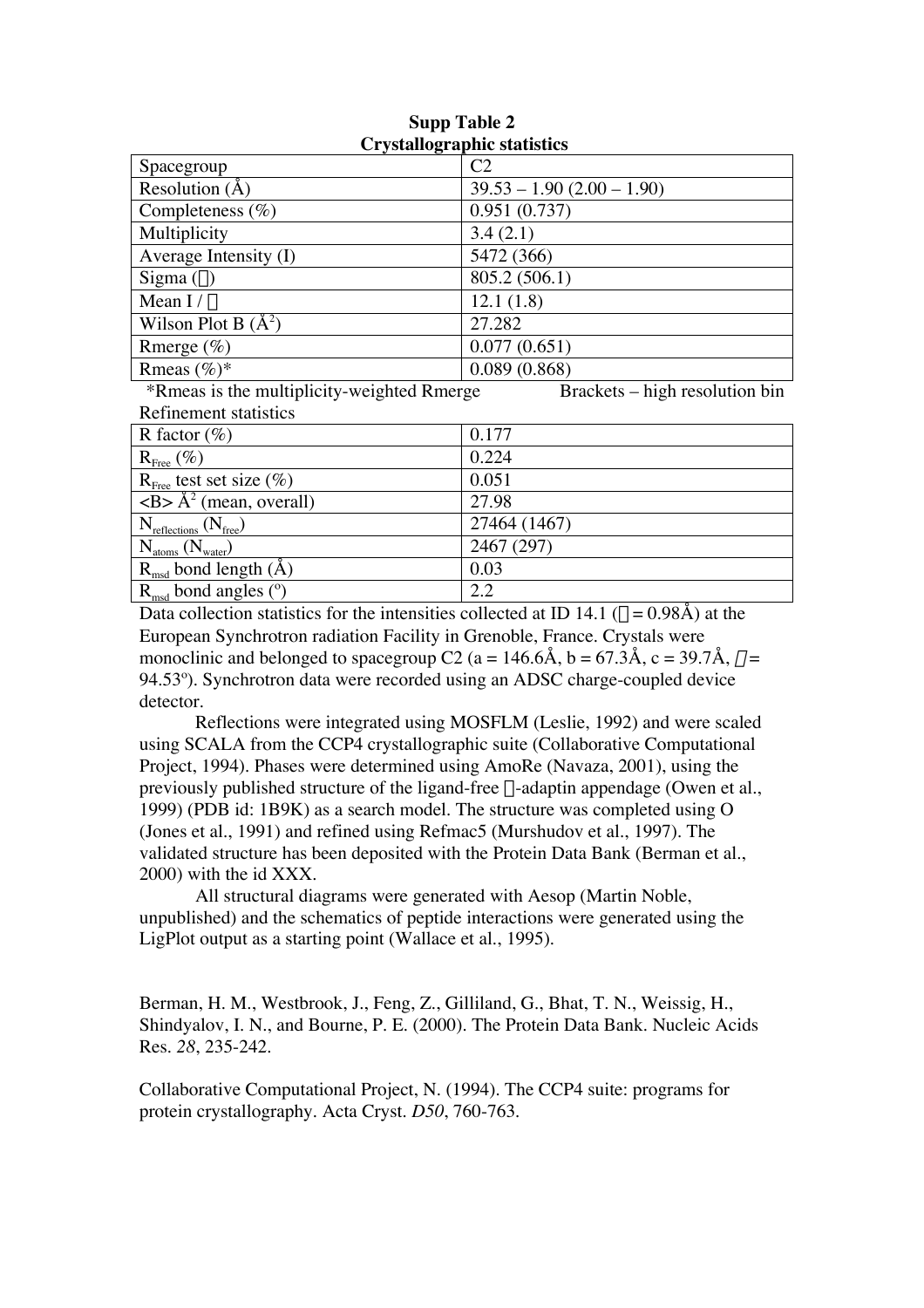| UT VStallOgraphic statistics                                      |                                           |  |  |  |  |  |
|-------------------------------------------------------------------|-------------------------------------------|--|--|--|--|--|
| Spacegroup                                                        | C2                                        |  |  |  |  |  |
| Resolution $(A)$                                                  | $39.53 - 1.90 (2.00 - 1.90)$              |  |  |  |  |  |
| Completeness $(\% )$                                              | 0.951(0.737)                              |  |  |  |  |  |
| Multiplicity                                                      | 3.4(2.1)                                  |  |  |  |  |  |
| Average Intensity (I)                                             | 5472 (366)                                |  |  |  |  |  |
| Sigma $($ o $)$                                                   | 805.2 (506.1)                             |  |  |  |  |  |
| Mean $I/\sigma$                                                   | 12.1(1.8)                                 |  |  |  |  |  |
| Wilson Plot B $(\AA^2)$                                           | 27.282                                    |  |  |  |  |  |
| Rmerge $(\%)$                                                     | 0.077(0.651)                              |  |  |  |  |  |
| Rmeas $(\%)^*$                                                    | 0.089(0.868)                              |  |  |  |  |  |
| $*D_{\text{meas}}$ is the multiplicity weighted $D_{\text{meas}}$ | $D$ neglectarizative proposalation $\lim$ |  |  |  |  |  |

#### **Supp Table 2 Crystallographic statistics**

\*Rmeas is the multiplicity-weighted Rmerge Brackets – high resolution bin Refinement statistics

| KUHIKIIKIN STAUSUUS                                      |              |
|----------------------------------------------------------|--------------|
| R factor $(\%)$                                          | 0.177        |
| $R_{\text{Free}}(\%)$                                    | 0.224        |
| $R_{\text{Free}}$ test set size $(\%)$                   | 0.051        |
| $\overline{\langle B \rangle}$ $\rm A^2$ (mean, overall) | 27.98        |
| $N_{\text{reflections}}\left(N_{\text{free}}\right)$     | 27464 (1467) |
| $N_{atoms}$ ( $N_{water}$ )                              | 2467 (297)   |
| $R_{\text{msd}}$ bond length (Å)                         | 0.03         |
| $R_{\text{msd}}$ bond angles ( $\text{o}$ )              | 2.2<br>n     |
|                                                          |              |

Data collection statistics for the intensities collected at ID 14.1 ( $\lambda = 0.98$ Å) at the European Synchrotron radiation Facility in Grenoble, France. Crystals were monoclinic and belonged to spacegroup C2 (a = 146.6Å, b = 67.3Å, c = 39.7Å,  $\beta$  = 94.53º). Synchrotron data were recorded using an ADSC charge-coupled device detector.

Reflections were integrated using MOSFLM (Leslie, 1992) and were scaled using SCALA from the CCP4 crystallographic suite (Collaborative Computational Project, 1994). Phases were determined using AmoRe (Navaza, 2001), using the previously published structure of the ligand-free  $\alpha$ -adaptin appendage (Owen et al., 1999) (PDB id: 1B9K) as a search model. The structure was completed using O (Jones et al., 1991) and refined using Refmac5 (Murshudov et al., 1997). The validated structure has been deposited with the Protein Data Bank (Berman et al., 2000) with the id XXX.

All structural diagrams were generated with Aesop (Martin Noble, unpublished) and the schematics of peptide interactions were generated using the LigPlot output as a starting point (Wallace et al., 1995).

Berman, H. M., Westbrook, J., Feng, Z., Gilliland, G., Bhat, T. N., Weissig, H., Shindyalov, I. N., and Bourne, P. E. (2000). The Protein Data Bank. Nucleic Acids Res. *28*, 235-242.

Collaborative Computational Project, N. (1994). The CCP4 suite: programs for protein crystallography. Acta Cryst. *D50*, 760-763.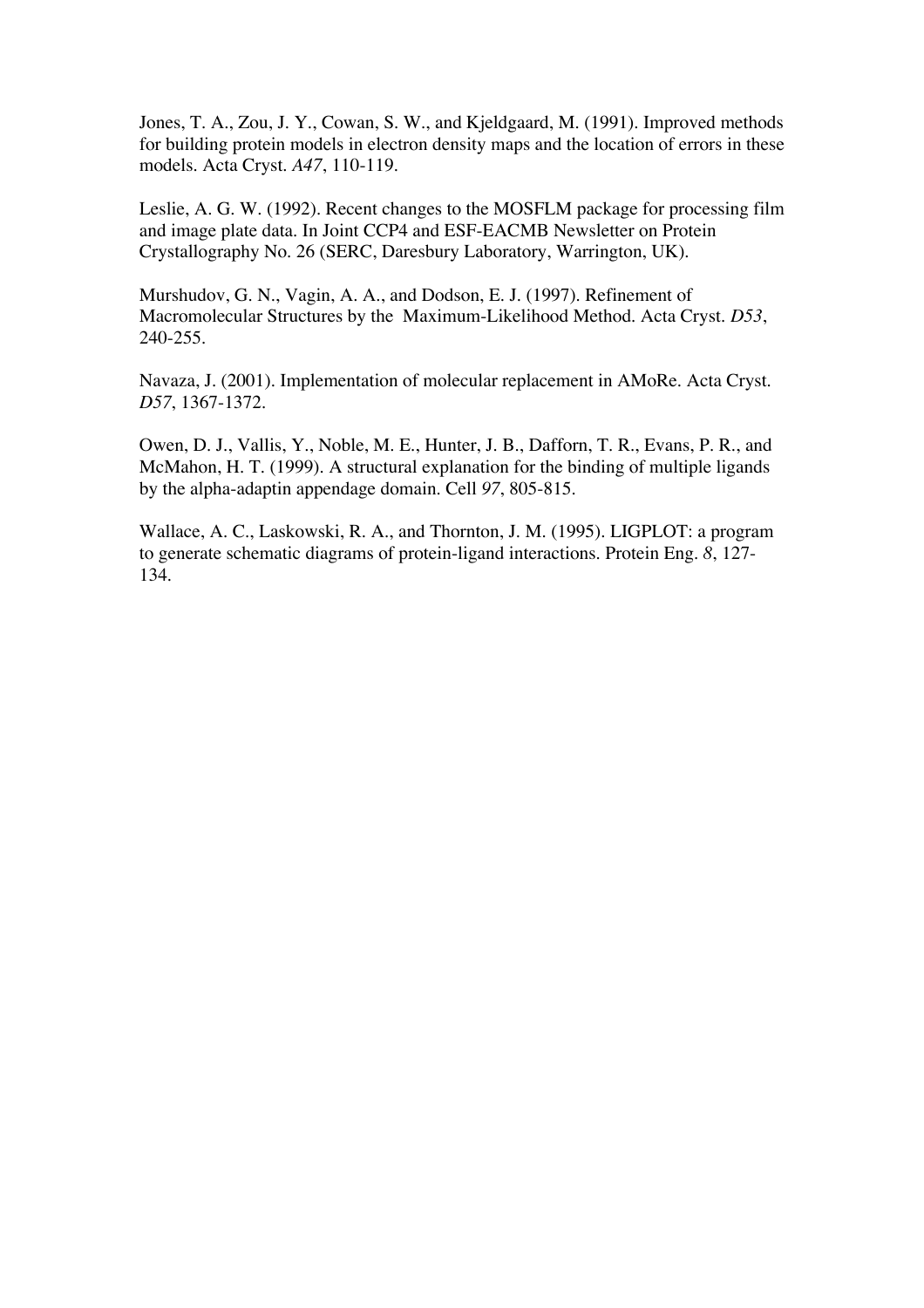Jones, T. A., Zou, J. Y., Cowan, S. W., and Kjeldgaard, M. (1991). Improved methods for building protein models in electron density maps and the location of errors in these models. Acta Cryst. *A47*, 110-119.

Leslie, A. G. W. (1992). Recent changes to the MOSFLM package for processing film and image plate data. In Joint CCP4 and ESF-EACMB Newsletter on Protein Crystallography No. 26 (SERC, Daresbury Laboratory, Warrington, UK).

Murshudov, G. N., Vagin, A. A., and Dodson, E. J. (1997). Refinement of Macromolecular Structures by the Maximum-Likelihood Method. Acta Cryst. *D53*, 240-255.

Navaza, J. (2001). Implementation of molecular replacement in AMoRe. Acta Cryst. *D57*, 1367-1372.

Owen, D. J., Vallis, Y., Noble, M. E., Hunter, J. B., Dafforn, T. R., Evans, P. R., and McMahon, H. T. (1999). A structural explanation for the binding of multiple ligands by the alpha-adaptin appendage domain. Cell *97*, 805-815.

Wallace, A. C., Laskowski, R. A., and Thornton, J. M. (1995). LIGPLOT: a program to generate schematic diagrams of protein-ligand interactions. Protein Eng. *8*, 127- 134.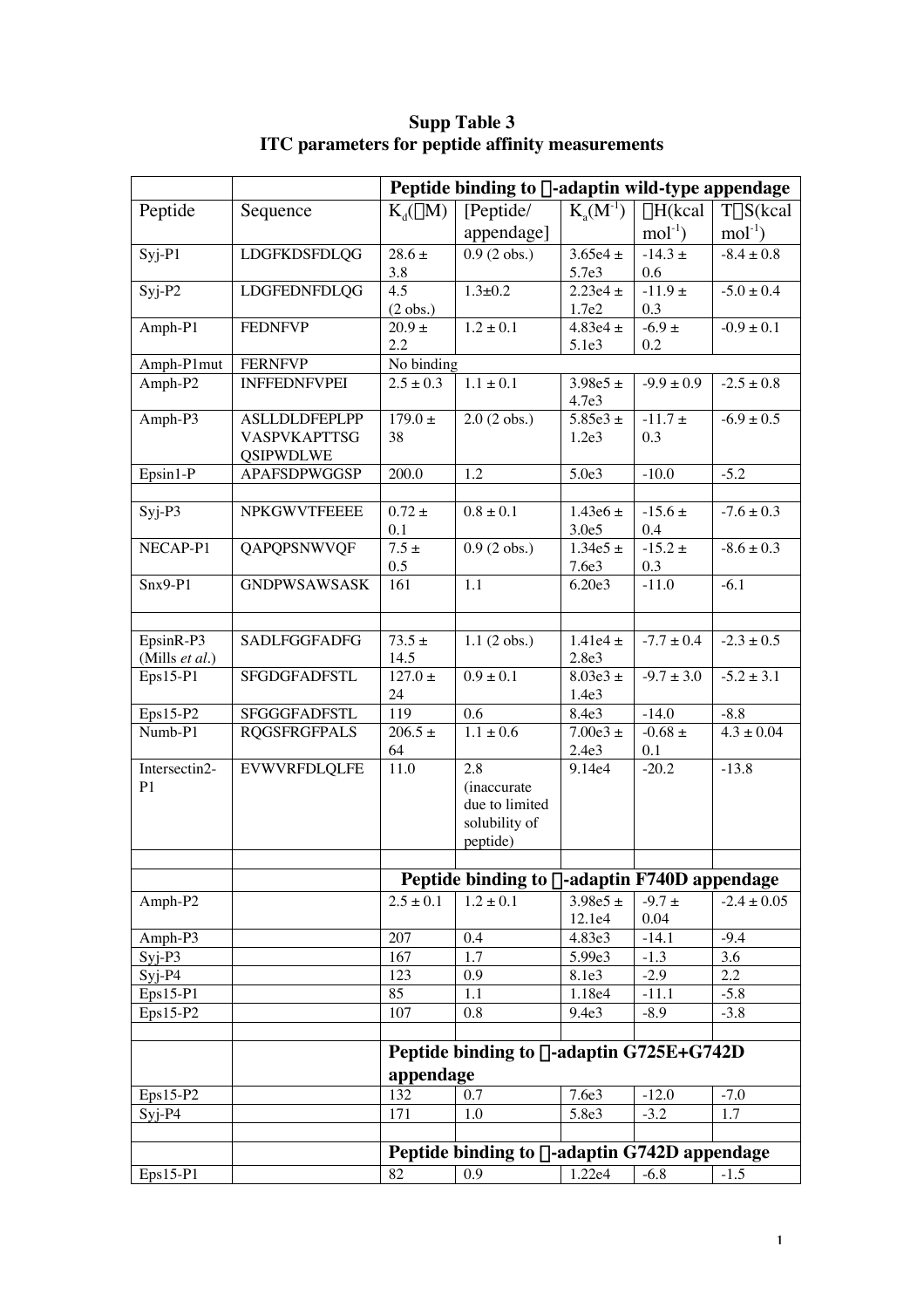|                             |                      | Peptide binding to $\alpha$ -adaptin wild-type appendage |                                                      |                       |                   |                   |  |  |
|-----------------------------|----------------------|----------------------------------------------------------|------------------------------------------------------|-----------------------|-------------------|-------------------|--|--|
| Peptide                     | Sequence             | $K_d(\mu M)$                                             | [Peptide/                                            | $K_{a}(M^{-1})$       | $\Delta H$ (kcal  | $T\Delta S$ (kcal |  |  |
|                             |                      |                                                          | appendage]                                           |                       | $mol-1$           | $mol-1$           |  |  |
| $Syj-P1$                    | <b>LDGFKDSFDLQG</b>  | $28.6 \pm$                                               | $0.9(2 \text{ obs.})$                                | $3.65e4 \pm$          | $-14.3 \pm$       | $-8.4 \pm 0.8$    |  |  |
|                             |                      | 3.8                                                      |                                                      | 5.7e3                 | 0.6               |                   |  |  |
| $Syj-P2$                    | LDGFEDNFDLQG         | 4.5                                                      | $1.3 \pm 0.2$                                        | $2.23e4 \pm$          | -11.9 $\pm$       | $-5.0 \pm 0.4$    |  |  |
|                             | <b>FEDNFVP</b>       | $(2 \text{ obs.})$<br>$20.9 +$                           | $1.2 \pm 0.1$                                        | 1.7e2<br>4.83e4 $\pm$ | 0.3<br>$-6.9 \pm$ | $-0.9 \pm 0.1$    |  |  |
| Amph-P1                     |                      | 2.2                                                      |                                                      | 5.1e3                 | 0.2               |                   |  |  |
| Amph-P1mut                  | <b>FERNFVP</b>       | No binding                                               |                                                      |                       |                   |                   |  |  |
| $Amph-P2$                   | <b>INFFEDNFVPEI</b>  | $2.5 \pm 0.3$                                            | $1.1 \pm 0.1$                                        | $3.98e5 \pm$          | $-9.9 \pm 0.9$    | $-2.5 \pm 0.8$    |  |  |
|                             |                      |                                                          |                                                      | 4.7e3                 |                   |                   |  |  |
| Amph-P3                     | <b>ASLLDLDFEPLPP</b> | $179.0 \pm$                                              | $2.0(2 \text{ obs.})$                                | $5.85e3 \pm$          | -11.7 $\pm$       | $-6.9 \pm 0.5$    |  |  |
|                             | VASPVKAPTTSG         | 38                                                       |                                                      | 1.2e <sub>3</sub>     | 0.3               |                   |  |  |
|                             | <b>QSIPWDLWE</b>     |                                                          |                                                      |                       |                   |                   |  |  |
| Epsin1-P                    | APAFSDPWGGSP         | 200.0                                                    | 1.2                                                  | 5.0e3                 | $-10.0$           | $-5.2$            |  |  |
| $Syj-P3$                    | <b>NPKGWVTFEEEE</b>  | $0.72 \pm$                                               | $0.8 \pm 0.1$                                        | $1.43e6 \pm$          | $-15.6 \pm$       | $-7.6 \pm 0.3$    |  |  |
|                             |                      | 0.1                                                      |                                                      | 3.0e5                 | 0.4               |                   |  |  |
| NECAP-P1                    | QAPQPSNWVQF          | $7.5 \pm$                                                | $0.9(2 \text{ obs.})$                                | $1.34e5 \pm$          | $-15.2 \pm$       | $-8.6 \pm 0.3$    |  |  |
|                             |                      | 0.5                                                      |                                                      | 7.6e3                 | 0.3               |                   |  |  |
| $Snx9-P1$                   | <b>GNDPWSAWSASK</b>  | 161                                                      | 1.1                                                  | 6.20e3                | $-11.0$           | $-6.1$            |  |  |
|                             |                      |                                                          |                                                      |                       |                   |                   |  |  |
|                             |                      |                                                          |                                                      |                       |                   |                   |  |  |
| EpsinR-P3<br>(Mills et al.) | <b>SADLFGGFADFG</b>  | $73.5 \pm$<br>14.5                                       | $1.1(2 \text{ obs.})$                                | 1.41e4 $\pm$<br>2.8e3 | $-7.7 \pm 0.4$    | $-2.3 \pm 0.5$    |  |  |
| Eps15-P1                    | SFGDGFADFSTL         | $127.0 \pm$                                              | $0.9 \pm 0.1$                                        | $8.03e3 \pm$          | $-9.7 \pm 3.0$    | $-5.2 \pm 3.1$    |  |  |
|                             |                      | 24                                                       |                                                      | 1.4e3                 |                   |                   |  |  |
| Eps15-P2                    | SFGGGFADFSTL         | 119                                                      | 0.6                                                  | 8.4e3                 | $-14.0$           | $-8.8$            |  |  |
| Numb-P1                     | <b>RQGSFRGFPALS</b>  | $206.5 \pm$                                              | $1.1 \pm 0.6$                                        | $7.00e3 \pm$          | -0.68 $\pm$       | $4.3 \pm 0.04$    |  |  |
|                             |                      | 64                                                       |                                                      | 2.4e3                 | 0.1               |                   |  |  |
| Intersectin2-               | <b>EVWVRFDLQLFE</b>  | 11.0                                                     | 2.8                                                  | 9.14e4                | $-20.2$           | $-13.8$           |  |  |
| P <sub>1</sub>              |                      |                                                          | (inaccurate<br>due to limited                        |                       |                   |                   |  |  |
|                             |                      |                                                          | solubility of                                        |                       |                   |                   |  |  |
|                             |                      |                                                          | peptide)                                             |                       |                   |                   |  |  |
|                             |                      |                                                          |                                                      |                       |                   |                   |  |  |
|                             |                      |                                                          | Peptide binding to $\alpha$ -adaptin F740D appendage |                       |                   |                   |  |  |
| Amph-P2                     |                      | $2.5 \pm 0.1$                                            | $1.2 \pm 0.1$                                        | $3.98e5 \pm$          | $-9.7 \pm$        | $-2.4 \pm 0.05$   |  |  |
|                             |                      |                                                          |                                                      | 12.1e4                | 0.04              |                   |  |  |
| Amph-P3                     |                      | 207                                                      | 0.4                                                  | 4.83e3                | $-14.1$           | $-9.4$            |  |  |
| $Syi-P3$                    |                      | 167                                                      | 1.7                                                  | 5.99e3                | $-1.3$            | 3.6               |  |  |
| $S_{yi}$ -P4                |                      | 123                                                      | 0.9                                                  | 8.1e3                 | $-2.9$            | 2.2               |  |  |
| $Eps15-P1$<br>$Eps15-P2$    |                      | 85<br>107                                                | 1.1<br>0.8                                           | 1.18e4<br>9.4e3       | $-11.1$<br>$-8.9$ | $-5.8$<br>$-3.8$  |  |  |
|                             |                      |                                                          |                                                      |                       |                   |                   |  |  |
|                             |                      | Peptide binding to $\alpha$ -adaptin G725E+G742D         |                                                      |                       |                   |                   |  |  |
|                             |                      | appendage                                                |                                                      |                       |                   |                   |  |  |
| Eps15-P2                    |                      | 132                                                      | 0.7                                                  | 7.6e3                 | $-12.0$           | $-7.0$            |  |  |
| $SYj-P4$                    |                      | 171                                                      | 1.0                                                  | 5.8e3                 | $-3.2$            | 1.7               |  |  |
|                             |                      |                                                          |                                                      |                       |                   |                   |  |  |
|                             |                      |                                                          | Peptide binding to $\alpha$ -adaptin G742D appendage |                       |                   |                   |  |  |
| Eps15-P1                    |                      | 82                                                       | 0.9                                                  | 1.22e4                | $-6.8$            | $-1.5$            |  |  |
|                             |                      |                                                          |                                                      |                       |                   |                   |  |  |

**Supp Table 3 ITC parameters for peptide affinity measurements**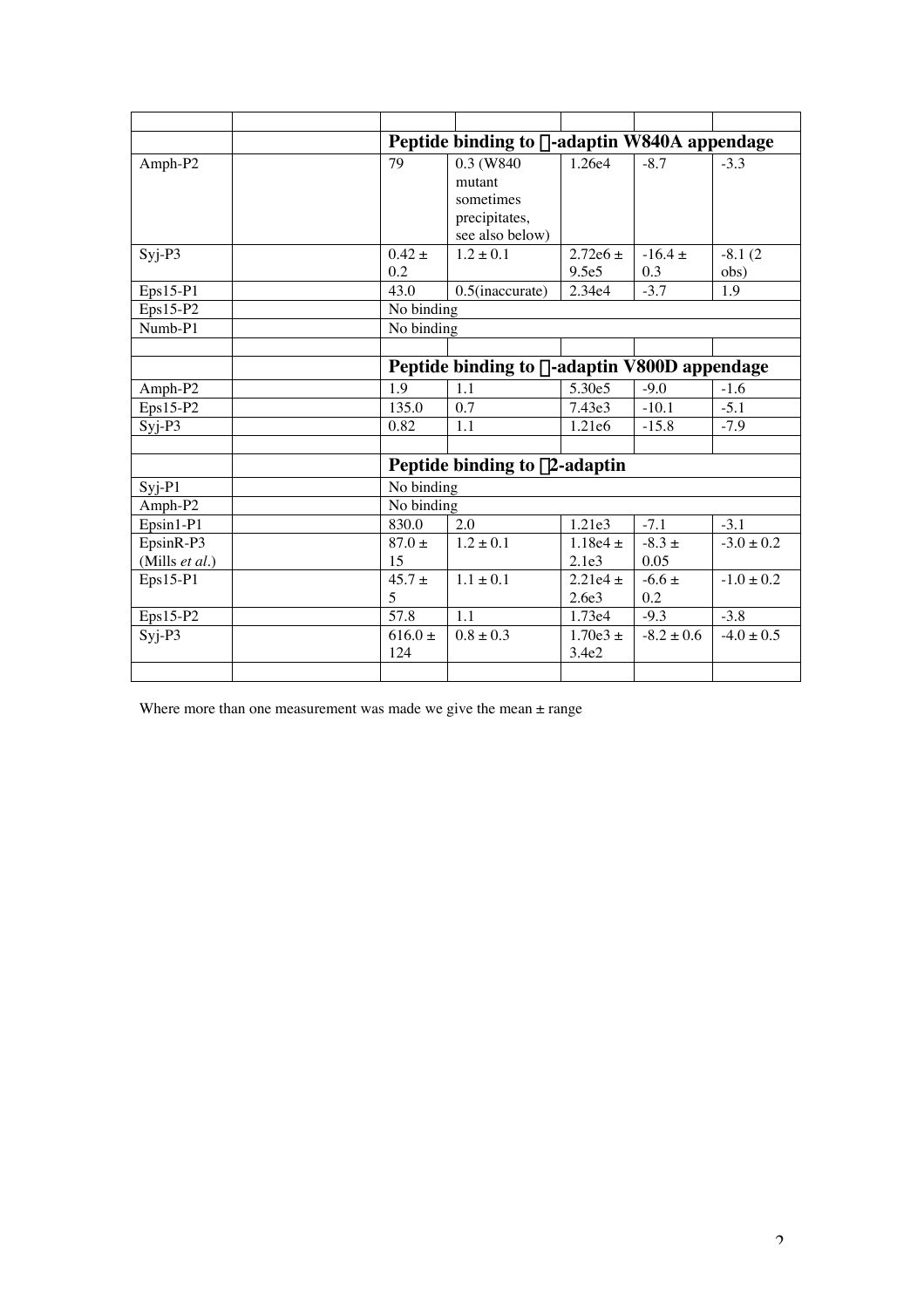|                |                    | Peptide binding to α-adaptin W840A appendage                          |                                   |                   |                   |  |  |  |
|----------------|--------------------|-----------------------------------------------------------------------|-----------------------------------|-------------------|-------------------|--|--|--|
| Amph-P2        | 79                 | 0.3 (W840)<br>mutant<br>sometimes<br>precipitates,<br>see also below) | 1.26e4                            | $-8.7$            | $-3.3$            |  |  |  |
| $SYj-P3$       | $0.42 \pm$<br>0.2  | $1.2 + 0.1$                                                           | $2.72e6 \pm$<br>9.5e <sub>5</sub> | $-16.4 +$<br>0.3  | $-8.1(2)$<br>obs) |  |  |  |
| $Eps15-P1$     | 43.0               | $0.5$ (inaccurate)                                                    | 2.34e4                            | $-3.7$            | 1.9               |  |  |  |
| $Eps15-P2$     |                    | No binding                                                            |                                   |                   |                   |  |  |  |
| Numb-P1        |                    | No binding                                                            |                                   |                   |                   |  |  |  |
|                |                    |                                                                       |                                   |                   |                   |  |  |  |
|                |                    | Peptide binding to $\alpha$ -adaptin V800D appendage                  |                                   |                   |                   |  |  |  |
| Amph-P2        | 1.9                | 1.1                                                                   | 5.30e5                            | $-9.0$            | $-1.6$            |  |  |  |
| $Eps15-P2$     | 135.0              | 0.7                                                                   | 7.43e3                            | $-10.1$           | $-5.1$            |  |  |  |
| $Syi-P3$       | 0.82               | 1.1                                                                   | 1.21e6                            | $-15.8$           | $-7.9$            |  |  |  |
|                |                    |                                                                       |                                   |                   |                   |  |  |  |
|                |                    | Peptide binding to $\beta$ 2-adaptin                                  |                                   |                   |                   |  |  |  |
| $Syj-P1$       | No binding         |                                                                       |                                   |                   |                   |  |  |  |
| Amph-P2        | No binding         |                                                                       |                                   |                   |                   |  |  |  |
| $Epsilon1-P1$  | 830.0              | 2.0                                                                   | 1.21e3                            | $-7.1$            | $-3.1$            |  |  |  |
| EpsinR-P3      | $87.0 \pm$         | $1.2 \pm 0.1$                                                         | 1.18e4 $\pm$                      | $-8.3 \pm$        | $-3.0 \pm 0.2$    |  |  |  |
| (Mills et al.) | 15                 |                                                                       | 2.1e <sub>3</sub>                 | 0.05              |                   |  |  |  |
| $Eps15-P1$     | $45.7 \pm$<br>5    | $1.1 \pm 0.1$                                                         | $2.21e4 \pm$<br>2.6e <sub>3</sub> | $-6.6 \pm$<br>0.2 | $-1.0 \pm 0.2$    |  |  |  |
| Eps15-P2       | 57.8               | 1.1                                                                   | 1.73e4                            | $-9.3$            | $-3.8$            |  |  |  |
| $Syi-P3$       | $616.0 \pm$<br>124 | $0.8 \pm 0.3$                                                         | $1.70e3 +$<br>3.4e2               | $-8.2 \pm 0.6$    | $-4.0 \pm 0.5$    |  |  |  |
|                |                    |                                                                       |                                   |                   |                   |  |  |  |

Where more than one measurement was made we give the mean  $\pm$  range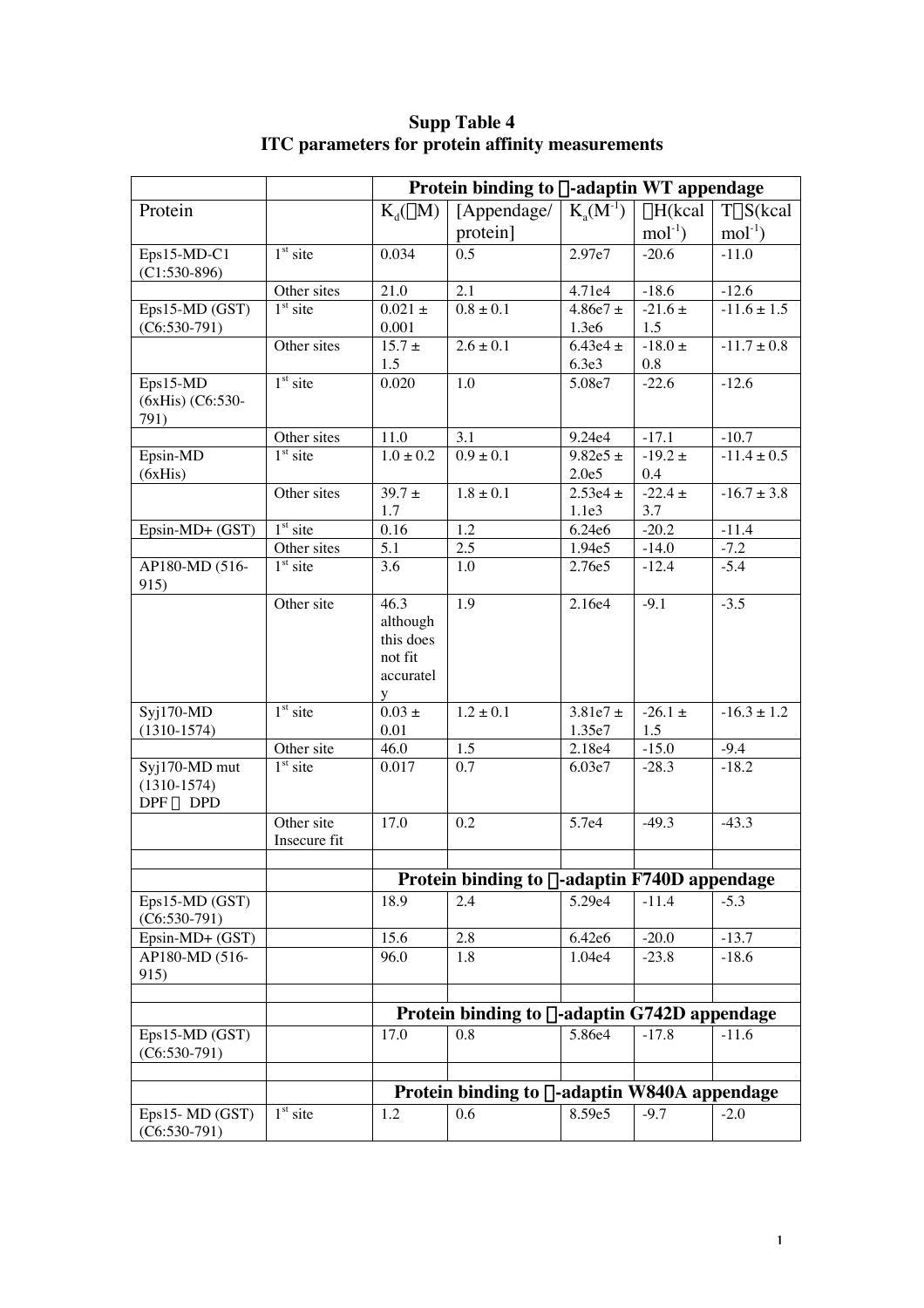|                       |              | Protein binding to $\alpha$ -adaptin WT appendage    |                                                      |                  |                  |                 |
|-----------------------|--------------|------------------------------------------------------|------------------------------------------------------|------------------|------------------|-----------------|
| Protein               |              | $K_d(\mu M)$                                         | [Appendage/                                          | $K_{a}(M^{-1})$  | $\Delta H$ (kcal | TAS(kcal        |
|                       |              |                                                      | protein]                                             |                  | $mol-1$          | $mol-1$         |
| Eps15-MD-C1           | $1st$ site   | 0.034                                                | 0.5                                                  | 2.97e7           | $-20.6$          | $-11.0$         |
| $(C1:530-896)$        |              |                                                      |                                                      |                  |                  |                 |
|                       | Other sites  | 21.0                                                 | 2.1                                                  | 4.71e4           | $-18.6$          | $-12.6$         |
| Eps15-MD (GST)        | $1st$ site   | $0.021 \pm$                                          | $0.8 \pm 0.1$                                        | 4.86e7 $\pm$     | $-21.6 \pm$      | $-11.6 \pm 1.5$ |
| $(C6:530-791)$        |              | 0.001                                                |                                                      | 1.3e6            | 1.5              |                 |
|                       | Other sites  | $15.7 \pm$                                           | $2.6 \pm 0.1$                                        | 6.43e4 $\pm$     | -18.0 $\pm$      | $-11.7 \pm 0.8$ |
|                       |              | 1.5                                                  |                                                      | 6.3e3            | 0.8              |                 |
| Eps15-MD              | $1st$ site   | 0.020                                                | 1.0                                                  | 5.08e7           | $-22.6$          | $-12.6$         |
| (6xHis) (C6:530-      |              |                                                      |                                                      |                  |                  |                 |
| 791)                  | Other sites  | 11.0                                                 | 3.1                                                  | 9.24e4           | $-17.1$          | $-10.7$         |
| Epsin-MD              | $1st$ site   | $1.0 \pm 0.2$                                        | $0.9 \pm 0.1$                                        | $9.82e5 \pm$     | $-19.2 \pm$      | $-11.4 \pm 0.5$ |
| (6xHis)               |              |                                                      |                                                      | 2.0e5            | 0.4              |                 |
|                       | Other sites  | $39.7 \pm$                                           | $1.8 \pm 0.1$                                        | $2.53e4 \pm$     | $-22.4 \pm$      | $-16.7 \pm 3.8$ |
|                       |              | 1.7                                                  |                                                      | 1.1e3            | 3.7              |                 |
| Epsin-MD+ (GST)       | $1st$ site   | 0.16                                                 | 1.2                                                  | 6.24e6           | $-20.2$          | $-11.4$         |
|                       | Other sites  | 5.1                                                  | 2.5                                                  | 1.94e5           | $-14.0$          | $-7.2$          |
| AP180-MD (516-        | $1st$ site   | 3.6                                                  | 1.0                                                  | 2.76e5           | $-12.4$          | $-5.4$          |
| 915)                  |              |                                                      |                                                      |                  |                  |                 |
|                       | Other site   | 46.3                                                 | 1.9                                                  | 2.16e4           | $-9.1$           | $-3.5$          |
|                       |              | although                                             |                                                      |                  |                  |                 |
|                       |              | this does                                            |                                                      |                  |                  |                 |
|                       |              | not fit                                              |                                                      |                  |                  |                 |
|                       |              | accuratel                                            |                                                      |                  |                  |                 |
|                       |              | y                                                    |                                                      |                  |                  |                 |
| $Syj170-MD$           | $1st$ site   | $0.03 \pm$                                           | $1.2 \pm 0.1$                                        | $3.81e7 \pm$     | $-26.1 \pm$      | $-16.3 \pm 1.2$ |
| $(1310-1574)$         | Other site   | 0.01<br>46.0                                         | $\overline{1.5}$                                     | 1.35e7           | 1.5<br>$-15.0$   | $-9.4$          |
| Syj170-MD mut         | $1st$ site   | 0.017                                                | 0.7                                                  | 2.18e4<br>6.03e7 | $-28.3$          | $-18.2$         |
| $(1310-1574)$         |              |                                                      |                                                      |                  |                  |                 |
| $DPF \rightarrow DPD$ |              |                                                      |                                                      |                  |                  |                 |
|                       | Other site   | 17.0                                                 | 0.2                                                  | 5.7e4            | $-49.3$          | $-43.3$         |
|                       | Insecure fit |                                                      |                                                      |                  |                  |                 |
|                       |              |                                                      |                                                      |                  |                  |                 |
|                       |              |                                                      | Protein binding to $\alpha$ -adaptin F740D appendage |                  |                  |                 |
| $Eps15-MD(GST)$       |              | 18.9                                                 | 2.4                                                  | 5.29e4           | $-11.4$          | $-5.3$          |
| $(C6:530-791)$        |              |                                                      |                                                      |                  |                  |                 |
| Epsin-MD+ (GST)       |              | 15.6                                                 | 2.8                                                  | 6.42e6           | $-20.0$          | $-13.7$         |
| AP180-MD (516-        |              | 96.0                                                 | 1.8                                                  | 1.04e4           | $-23.8$          | $-18.6$         |
| 915)                  |              |                                                      |                                                      |                  |                  |                 |
|                       |              |                                                      |                                                      |                  |                  |                 |
|                       |              | Protein binding to $\alpha$ -adaptin G742D appendage |                                                      |                  |                  |                 |
| Eps15-MD (GST)        |              | 17.0                                                 | 0.8                                                  | 5.86e4           | $-17.8$          | $-11.6$         |
| $(C6:530-791)$        |              |                                                      |                                                      |                  |                  |                 |
|                       |              |                                                      |                                                      |                  |                  |                 |
|                       |              | Protein binding to $\alpha$ -adaptin W840A appendage |                                                      |                  |                  |                 |
| $Eps15 - MD(GST)$     | $1st$ site   | 1.2                                                  | 0.6                                                  | 8.59e5           | $-9.7$           | $-2.0$          |
| $(C6:530-791)$        |              |                                                      |                                                      |                  |                  |                 |

## **Supp Table 4 ITC parameters for protein affinity measurements**